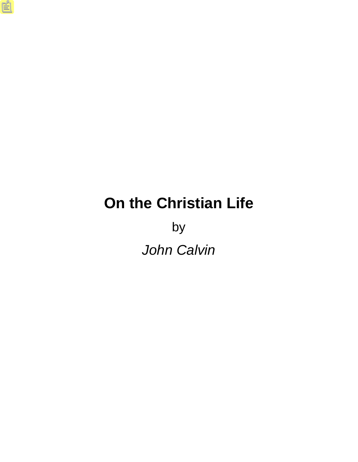# **On the Christian Life**

by *John Calvin*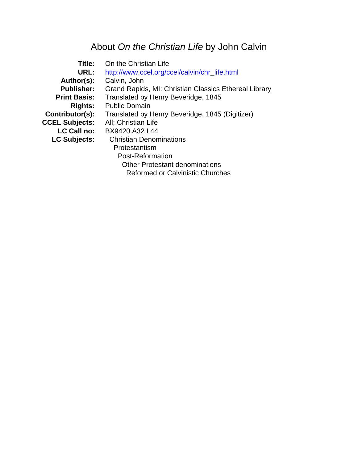About *On the Christian Life* by John Calvin

<span id="page-1-0"></span>

| Title:                | On the Christian Life                                 |
|-----------------------|-------------------------------------------------------|
| URL:                  | http://www.ccel.org/ccel/calvin/chr_life.html         |
| Author(s):            | Calvin, John                                          |
| <b>Publisher:</b>     | Grand Rapids, MI: Christian Classics Ethereal Library |
| <b>Print Basis:</b>   | Translated by Henry Beveridge, 1845                   |
| <b>Rights:</b>        | <b>Public Domain</b>                                  |
| Contributor(s):       | Translated by Henry Beveridge, 1845 (Digitizer)       |
| <b>CCEL Subjects:</b> | All; Christian Life                                   |
| LC Call no:           | BX9420.A32 L44                                        |
| <b>LC Subjects:</b>   | <b>Christian Denominations</b>                        |
|                       | Protestantism                                         |
|                       | Post-Reformation                                      |
|                       | <b>Other Protestant denominations</b>                 |
|                       | <b>Reformed or Calvinistic Churches</b>               |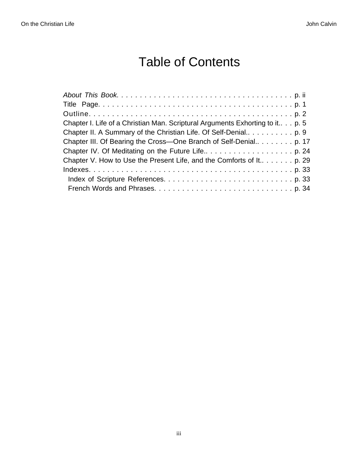# Table of Contents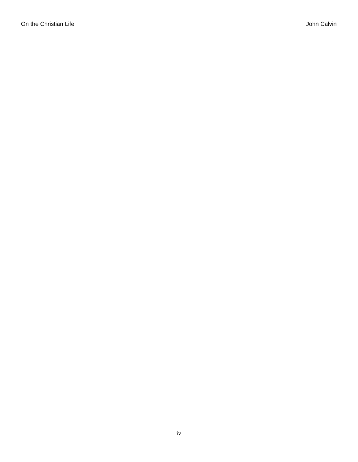On the Christian Life John Calvin Calvin Calvin Calvin Calvin Calvin Calvin Calvin Calvin Calvin Calvin Calvin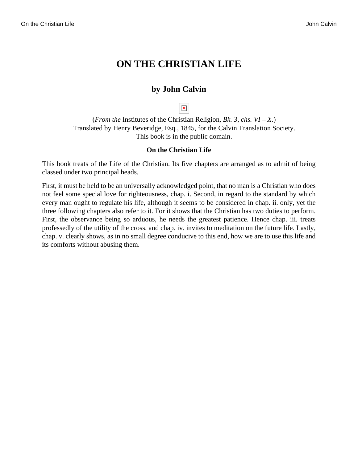# <span id="page-4-0"></span>**ON THE CHRISTIAN LIFE**

### **by John Calvin**

(*From the* Institutes of the Christian Religion*, Bk. 3, chs. VI – X.*) Translated by Henry Beveridge, Esq., 1845, for the Calvin Translation Society. This book is in the public domain.

 $\pmb{\times}$ 

### **On the Christian Life**

This book treats of the Life of the Christian. Its five chapters are arranged as to admit of being classed under two principal heads.

First, it must be held to be an universally acknowledged point, that no man is a Christian who does not feel some special love for righteousness, chap. i. Second, in regard to the standard by which every man ought to regulate his life, although it seems to be considered in chap. ii. only, yet the three following chapters also refer to it. For it shows that the Christian has two duties to perform. First, the observance being so arduous, he needs the greatest patience. Hence chap. iii. treats professedly of the utility of the cross, and chap. iv. invites to meditation on the future life. Lastly, chap. v. clearly shows, as in no small degree conducive to this end, how we are to use this life and its comforts without abusing them.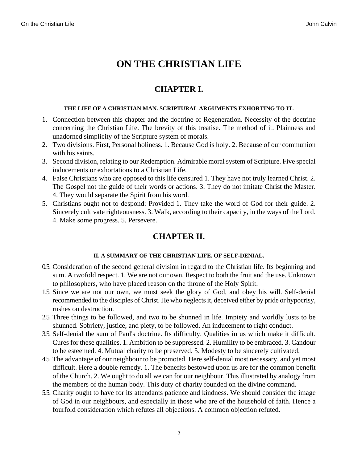# **ON THE CHRISTIAN LIFE**

## **CHAPTER I.**

#### <span id="page-5-0"></span>**THE LIFE OF A CHRISTIAN MAN. SCRIPTURAL ARGUMENTS EXHORTING TO IT.**

- 1. Connection between this chapter and the doctrine of Regeneration. Necessity of the doctrine concerning the Christian Life. The brevity of this treatise. The method of it. Plainness and unadorned simplicity of the Scripture system of morals.
- 2. Two divisions. First, Personal holiness. 1. Because God is holy. 2. Because of our communion with his saints.
- 3. Second division, relating to our Redemption. Admirable moral system of Scripture. Five special inducements or exhortations to a Christian Life.
- 4. False Christians who are opposed to this life censured 1. They have not truly learned Christ. 2. The Gospel not the guide of their words or actions. 3. They do not imitate Christ the Master. 4. They would separate the Spirit from his word.
- 5. Christians ought not to despond: Provided 1. They take the word of God for their guide. 2. Sincerely cultivate righteousness. 3. Walk, according to their capacity, in the ways of the Lord. 4. Make some progress. 5. Persevere.

### **CHAPTER II.**

#### **II. A SUMMARY OF THE CHRISTIAN LIFE. OF SELF-DENIAL.**

- 0.5. Consideration of the second general division in regard to the Christian life. Its beginning and sum. A twofold respect. 1. We are not our own. Respect to both the fruit and the use. Unknown to philosophers, who have placed reason on the throne of the Holy Spirit.
- 1.5. Since we are not our own, we must seek the glory of God, and obey his will. Self-denial recommended to the disciples of Christ. He who neglects it, deceived either by pride or hypocrisy, rushes on destruction.
- 2.5. Three things to be followed, and two to be shunned in life. Impiety and worldly lusts to be shunned. Sobriety, justice, and piety, to be followed. An inducement to right conduct.
- 3.5. Self-denial the sum of Paul's doctrine. Its difficulty. Qualities in us which make it difficult. Cures for these qualities. 1. Ambition to be suppressed. 2. Humility to be embraced. 3. Candour to be esteemed. 4. Mutual charity to be preserved. 5. Modesty to be sincerely cultivated.
- 4.5. The advantage of our neighbour to be promoted. Here self-denial most necessary, and yet most difficult. Here a double remedy. 1. The benefits bestowed upon us are for the common benefit of the Church. 2. We ought to do all we can for our neighbour. This illustrated by analogy from the members of the human body. This duty of charity founded on the divine command.
- 5.5. Charity ought to have for its attendants patience and kindness. We should consider the image of God in our neighbours, and especially in those who are of the household of faith. Hence a fourfold consideration which refutes all objections. A common objection refuted.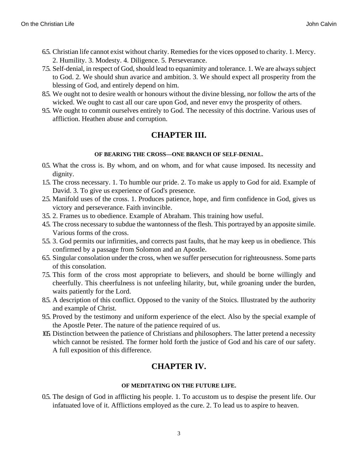- 6.5. Christian life cannot exist without charity. Remedies for the vices opposed to charity. 1. Mercy. 2. Humility. 3. Modesty. 4. Diligence. 5. Perseverance.
- 7.5. Self-denial, in respect of God, should lead to equanimity and tolerance. 1. We are always subject to God. 2. We should shun avarice and ambition. 3. We should expect all prosperity from the blessing of God, and entirely depend on him.
- 8.5. We ought not to desire wealth or honours without the divine blessing, nor follow the arts of the wicked. We ought to cast all our care upon God, and never envy the prosperity of others.
- 9.5. We ought to commit ourselves entirely to God. The necessity of this doctrine. Various uses of affliction. Heathen abuse and corruption.

### **CHAPTER III.**

### **OF BEARING THE CROSS—ONE BRANCH OF SELF-DENIAL.**

- 0.5. What the cross is. By whom, and on whom, and for what cause imposed. Its necessity and dignity.
- 1.5. The cross necessary. 1. To humble our pride. 2. To make us apply to God for aid. Example of David. 3. To give us experience of God's presence.
- 2.5. Manifold uses of the cross. 1. Produces patience, hope, and firm confidence in God, gives us victory and perseverance. Faith invincible.
- 3.5. 2. Frames us to obedience. Example of Abraham. This training how useful.
- 4.5. The cross necessary to subdue the wantonness of the flesh. This portrayed by an apposite simile. Various forms of the cross.
- 5.5. 3. God permits our infirmities, and corrects past faults, that he may keep us in obedience. This confirmed by a passage from Solomon and an Apostle.
- 6.5. Singular consolation under the cross, when we suffer persecution for righteousness. Some parts of this consolation.
- 7.5. This form of the cross most appropriate to believers, and should be borne willingly and cheerfully. This cheerfulness is not unfeeling hilarity, but, while groaning under the burden, waits patiently for the Lord.
- 8.5. A description of this conflict. Opposed to the vanity of the Stoics. Illustrated by the authority and example of Christ.
- 9.5. Proved by the testimony and uniform experience of the elect. Also by the special example of the Apostle Peter. The nature of the patience required of us.
- 105. Distinction between the patience of Christians and philosophers. The latter pretend a necessity which cannot be resisted. The former hold forth the justice of God and his care of our safety. A full exposition of this difference.

## **CHAPTER IV.**

### **OF MEDITATING ON THE FUTURE LIFE.**

0.5. The design of God in afflicting his people. 1. To accustom us to despise the present life. Our infatuated love of it. Afflictions employed as the cure. 2. To lead us to aspire to heaven.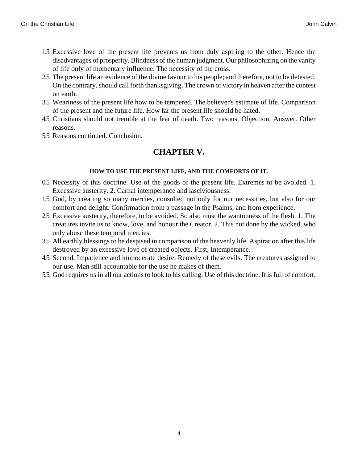- 1.5. Excessive love of the present life prevents us from duly aspiring to the other. Hence the disadvantages of prosperity. Blindness of the human judgment. Our philosophizing on the vanity of life only of momentary influence. The necessity of the cross.
- 2.5. The present life an evidence of the divine favour to his people; and therefore, not to be detested. On the contrary, should call forth thanksgiving. The crown of victory in heaven after the contest on earth.
- 3.5. Weariness of the present life how to be tempered. The believer's estimate of life. Comparison of the present and the future life. How far the present life should be hated.
- 4.5. Christians should not tremble at the fear of death. Two reasons. Objection. Answer. Other reasons.
- 5.5. Reasons continued. Conclusion.

### **CHAPTER V.**

#### **HOW TO USE THE PRESENT LIFE, AND THE COMFORTS OF IT.**

- 0.5. Necessity of this doctrine. Use of the goods of the present life. Extremes to be avoided. 1. Excessive austerity. 2. Carnal intemperance and lasciviousness.
- 1.5. God, by creating so many mercies, consulted not only for our necessities, but also for our comfort and delight. Confirmation from a passage in the Psalms, and from experience.
- 2.5. Excessive austerity, therefore, to be avoided. So also must the wantonness of the flesh. 1. The creatures invite us to know, love, and honour the Creator. 2. This not done by the wicked, who only abuse these temporal mercies.
- 3.5. All earthly blessings to be despised in comparison of the heavenly life. Aspiration after this life destroyed by an excessive love of created objects. First, Intemperance.
- 4.5. Second, Impatience and immoderate desire. Remedy of these evils. The creatures assigned to our use. Man still accountable for the use he makes of them.
- 5.5. God requires us in all our actions to look to his calling. Use of this doctrine. It is full of comfort.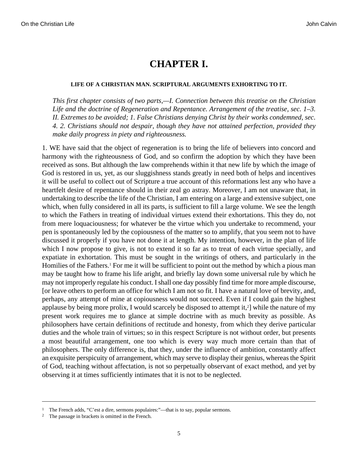### **CHAPTER I.**

#### <span id="page-8-0"></span>**LIFE OF A CHRISTIAN MAN. SCRIPTURAL ARGUMENTS EXHORTING TO IT.**

*This first chapter consists of two parts,—I. Connection between this treatise on the Christian Life and the doctrine of Regeneration and Repentance. Arrangement of the treatise, sec. 1–3. II. Extremes to be avoided; 1. False Christians denying Christ by their works condemned, sec. 4. 2. Christians should not despair, though they have not attained perfection, provided they make daily progress in piety and righteousness.*

1. WE have said that the object of regeneration is to bring the life of believers into concord and harmony with the righteousness of God, and so confirm the adoption by which they have been received as sons. But although the law comprehends within it that new life by which the image of God is restored in us, yet, as our sluggishness stands greatly in need both of helps and incentives it will be useful to collect out of Scripture a true account of this reformations lest any who have a heartfelt desire of repentance should in their zeal go astray. Moreover, I am not unaware that, in undertaking to describe the life of the Christian, I am entering on a large and extensive subject, one which, when fully considered in all its parts, is sufficient to fill a large volume. We see the length to which the Fathers in treating of individual virtues extend their exhortations. This they do, not from mere loquaciousness; for whatever be the virtue which you undertake to recommend, your pen is spontaneously led by the copiousness of the matter so to amplify, that you seem not to have discussed it properly if you have not done it at length. My intention, however, in the plan of life which I now propose to give, is not to extend it so far as to treat of each virtue specially, and expatiate in exhortation. This must be sought in the writings of others, and particularly in the Homilies of the Fathers.<sup>1</sup> For me it will be sufficient to point out the method by which a pious man may be taught how to frame his life aright, and briefly lay down some universal rule by which he may not improperly regulate his conduct. I shall one day possibly find time for more ample discourse, [or leave others to perform an office for which I am not so fit. I have a natural love of brevity, and, perhaps, any attempt of mine at copiousness would not succeed. Even if I could gain the highest applause by being more prolix, I would scarcely be disposed to attempt it,<sup>2</sup>] while the nature of my present work requires me to glance at simple doctrine with as much brevity as possible. As philosophers have certain definitions of rectitude and honesty, from which they derive particular duties and the whole train of virtues; so in this respect Scripture is not without order, but presents a most beautiful arrangement, one too which is every way much more certain than that of philosophers. The only difference is, that they, under the influence of ambition, constantly affect an exquisite perspicuity of arrangement, which may serve to display their genius, whereas the Spirit of God, teaching without affectation, is not so perpetually observant of exact method, and yet by observing it at times sufficiently intimates that it is not to be neglected.

<span id="page-8-1"></span><sup>&</sup>lt;sup>1</sup> The French adds, "C'est a dire, sermons populaires:"—that is to say, popular sermons.

<sup>2</sup> The passage in brackets is omitted in the French.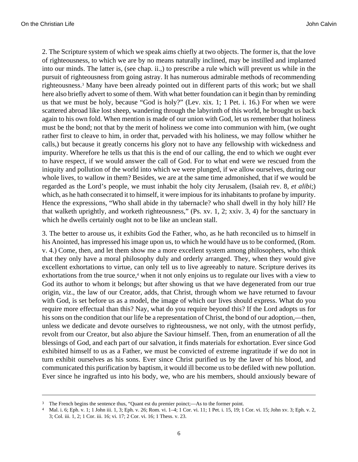2. The Scripture system of which we speak aims chiefly at two objects. The former is, that the love of righteousness, to which we are by no means naturally inclined, may be instilled and implanted into our minds. The latter is, (see chap. ii.,) to prescribe a rule which will prevent us while in the pursuit of righteousness from going astray. It has numerous admirable methods of recommending righteousness.<sup>3</sup> Many have been already pointed out in different parts of this work; but we shall here also briefly advert to some of them. With what better foundation can it begin than by reminding us that we must be holy, because "God is holy?" [\(Lev. xix. 1](http://www.ccel.org/b/bible/asv/xml/asv.Lev.19.xml#Lev.19.1); [1 Pet. i. 16.](http://www.ccel.org/b/bible/asv/xml/asv.iPet.1.xml#iPet.1.16)) For when we were scattered abroad like lost sheep, wandering through the labyrinth of this world, he brought us back again to his own fold. When mention is made of our union with God, let us remember that holiness must be the bond; not that by the merit of holiness we come into communion with him, (we ought rather first to cleave to him, in order that, pervaded with his holiness, we may follow whither he calls,) but because it greatly concerns his glory not to have any fellowship with wickedness and impurity. Wherefore he tells us that this is the end of our calling, the end to which we ought ever to have respect, if we would answer the call of God. For to what end were we rescued from the iniquity and pollution of the world into which we were plunged, if we allow ourselves, during our whole lives, to wallow in them? Besides, we are at the same time admonished, that if we would be regarded as the Lord's people, we must inhabit the holy city Jerusalem, (Isaiah rev. 8, *et alibi*;) which, as he hath consecrated it to himself, it were impious for its inhabitants to profane by impurity. Hence the expressions, "Who shall abide in thy tabernacle? who shall dwell in thy holy hill? He that walketh uprightly, and worketh righteousness," [\(Ps. xv. 1, 2;](http://www.ccel.org/b/bible/asv/xml/asv.Ps.15.xml#Ps.15.1 Bible:Ps.15.2) [xxiv. 3, 4](http://www.ccel.org/b/bible/asv/xml/asv.Ps.24.xml#Ps.24.3 Bible:Ps.24.4)) for the sanctuary in which he dwells certainly ought not to be like an unclean stall.

3. The better to arouse us, it exhibits God the Father, who, as he hath reconciled us to himself in his Anointed, has impressed his image upon us, to which he would have us to be conformed, ([Rom.](http://www.ccel.org/b/bible/asv/xml/asv.Rom.5.xml#Rom.5.4) [v. 4](http://www.ccel.org/b/bible/asv/xml/asv.Rom.5.xml#Rom.5.4).) Come, then, and let them show me a more excellent system among philosophers, who think that they only have a moral philosophy duly and orderly arranged. They, when they would give excellent exhortations to virtue, can only tell us to live agreeably to nature. Scripture derives its exhortations from the true source,<sup>4</sup> when it not only enjoins us to regulate our lives with a view to God its author to whom it belongs; but after showing us that we have degenerated from our true origin, viz., the law of our Creator, adds, that Christ, through whom we have returned to favour with God, is set before us as a model, the image of which our lives should express. What do you require more effectual than this? Nay, what do you require beyond this? If the Lord adopts us for his sons on the condition that our life be a representation of Christ, the bond of our adoption,—then, unless we dedicate and devote ourselves to righteousness, we not only, with the utmost perfidy, revolt from our Creator, but also abjure the Saviour himself. Then, from an enumeration of all the blessings of God, and each part of our salvation, it finds materials for exhortation. Ever since God exhibited himself to us as a Father, we must be convicted of extreme ingratitude if we do not in turn exhibit ourselves as his sons. Ever since Christ purified us by the laver of his blood, and communicated this purification by baptism, it would ill become us to be defiled with new pollution. Ever since he ingrafted us into his body, we, who are his members, should anxiously beware of

<span id="page-9-0"></span><sup>&</sup>lt;sup>3</sup> The French begins the sentence thus, "Quant est du premier poinct;—As to the former point.

<sup>4</sup> [Mal. i. 6](http://www.ccel.org/b/bible/asv/xml/asv.Mal.1.xml#Mal.1.6); [Eph. v. 1;](http://www.ccel.org/b/bible/asv/xml/asv.Eph.5.xml#Eph.5.1) [1 John iii. 1, 3](http://www.ccel.org/b/bible/asv/xml/asv.iJohn.3.xml#iJohn.3.1 Bible:1John.3.3); [Eph. v. 26;](http://www.ccel.org/b/bible/asv/xml/asv.Eph.5.xml#Eph.5.26) [Rom. vi. 1–4;](http://www.ccel.org/b/bible/asv/xml/asv.Rom.6.xml#Rom.6.1) [1 Cor. vi. 11;](http://www.ccel.org/b/bible/asv/xml/asv.iCor.6.xml#iCor.6.11) [1 Pet. i. 15, 19](http://www.ccel.org/b/bible/asv/xml/asv.iPet.1.xml#iPet.1.15 Bible:1Pet.1.19); [1 Cor. vi. 15](http://www.ccel.org/b/bible/asv/xml/asv.iCor.6.xml#iCor.6.15); [John xv. 3](http://www.ccel.org/b/bible/asv/xml/asv.John.15.xml#John.15.3); [Eph. v. 2,](http://www.ccel.org/b/bible/asv/xml/asv.Eph.5.xml#Eph.5.2 Bible:Eph.5.3) [3](http://www.ccel.org/b/bible/asv/xml/asv.Eph.5.xml#Eph.5.2 Bible:Eph.5.3); [Col. iii. 1, 2](http://www.ccel.org/b/bible/asv/xml/asv.Col.3.xml#Col.3.1 Bible:Col.3.2); [1 Cor. iii. 16;](http://www.ccel.org/b/bible/asv/xml/asv.iCor.3.xml#iCor.3.16) [vi. 17](http://www.ccel.org/b/bible/asv/xml/asv.iCor.6.xml#iCor.6.17); [2 Cor. vi. 16](http://www.ccel.org/b/bible/asv/xml/asv.iiCor.6.xml#iiCor.6.16); [1 Thess. v. 23](http://www.ccel.org/b/bible/asv/xml/asv.iThess.5.xml#iThess.5.23).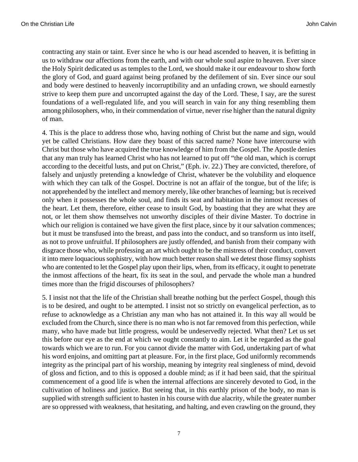contracting any stain or taint. Ever since he who is our head ascended to heaven, it is befitting in us to withdraw our affections from the earth, and with our whole soul aspire to heaven. Ever since the Holy Spirit dedicated us as temples to the Lord, we should make it our endeavour to show forth the glory of God, and guard against being profaned by the defilement of sin. Ever since our soul and body were destined to heavenly incorruptibility and an unfading crown, we should earnestly strive to keep them pure and uncorrupted against the day of the Lord. These, I say, are the surest foundations of a well-regulated life, and you will search in vain for any thing resembling them among philosophers, who, in their commendation of virtue, never rise higher than the natural dignity of man.

4. This is the place to address those who, having nothing of Christ but the name and sign, would yet be called Christians. How dare they boast of this sacred name? None have intercourse with Christ but those who have acquired the true knowledge of him from the Gospel. The Apostle denies that any man truly has learned Christ who has not learned to put off "the old man, which is corrupt according to the deceitful lusts, and put on Christ," ([Eph. iv. 22.\)](http://www.ccel.org/b/bible/asv/xml/asv.Eph.4.xml#Eph.4.22) They are convicted, therefore, of falsely and unjustly pretending a knowledge of Christ, whatever be the volubility and eloquence with which they can talk of the Gospel. Doctrine is not an affair of the tongue, but of the life; is not apprehended by the intellect and memory merely, like other branches of learning; but is received only when it possesses the whole soul, and finds its seat and habitation in the inmost recesses of the heart. Let them, therefore, either cease to insult God, by boasting that they are what they are not, or let them show themselves not unworthy disciples of their divine Master. To doctrine in which our religion is contained we have given the first place, since by it our salvation commences; but it must be transfused into the breast, and pass into the conduct, and so transform us into itself, as not to prove unfruitful. If philosophers are justly offended, and banish from their company with disgrace those who, while professing an art which ought to be the mistress of their conduct, convert it into mere loquacious sophistry, with how much better reason shall we detest those flimsy sophists who are contented to let the Gospel play upon their lips, when, from its efficacy, it ought to penetrate the inmost affections of the heart, fix its seat in the soul, and pervade the whole man a hundred times more than the frigid discourses of philosophers?

5. I insist not that the life of the Christian shall breathe nothing but the perfect Gospel, though this is to be desired, and ought to be attempted. I insist not so strictly on evangelical perfection, as to refuse to acknowledge as a Christian any man who has not attained it. In this way all would be excluded from the Church, since there is no man who is not far removed from this perfection, while many, who have made but little progress, would be undeservedly rejected. What then? Let us set this before our eye as the end at which we ought constantly to aim. Let it be regarded as the goal towards which we are to run. For you cannot divide the matter with God, undertaking part of what his word enjoins, and omitting part at pleasure. For, in the first place, God uniformly recommends integrity as the principal part of his worship, meaning by integrity real singleness of mind, devoid of gloss and fiction, and to this is opposed a double mind; as if it had been said, that the spiritual commencement of a good life is when the internal affections are sincerely devoted to God, in the cultivation of holiness and justice. But seeing that, in this earthly prison of the body, no man is supplied with strength sufficient to hasten in his course with due alacrity, while the greater number are so oppressed with weakness, that hesitating, and halting, and even crawling on the ground, they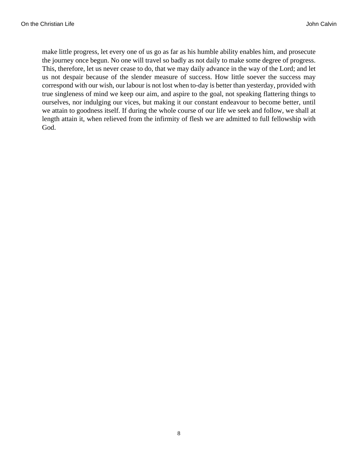make little progress, let every one of us go as far as his humble ability enables him, and prosecute the journey once begun. No one will travel so badly as not daily to make some degree of progress. This, therefore, let us never cease to do, that we may daily advance in the way of the Lord; and let us not despair because of the slender measure of success. How little soever the success may correspond with our wish, our labour is not lost when to-day is better than yesterday, provided with true singleness of mind we keep our aim, and aspire to the goal, not speaking flattering things to ourselves, nor indulging our vices, but making it our constant endeavour to become better, until we attain to goodness itself. If during the whole course of our life we seek and follow, we shall at length attain it, when relieved from the infirmity of flesh we are admitted to full fellowship with God.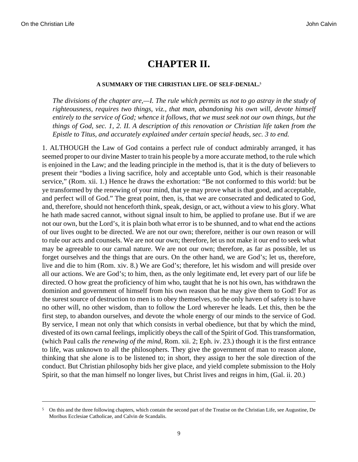# **CHAPTER II.**

#### **A SUMMARY OF THE CHRISTIAN LIFE. OF SELF-DENIAL.<sup>5</sup>**

<span id="page-12-0"></span>*The divisions of the chapter are,—I. The rule which permits us not to go astray in the study of righteousness, requires two things, viz., that man, abandoning his own will, devote himself entirely to the service of God; whence it follows, that we must seek not our own things, but the things of God, sec. 1, 2. II. A description of this renovation or Christian life taken from the Epistle to Titus, and accurately explained under certain special heads, sec. 3 to end.*

1. ALTHOUGH the Law of God contains a perfect rule of conduct admirably arranged, it has seemed proper to our divine Master to train his people by a more accurate method, to the rule which is enjoined in the Law; and the leading principle in the method is, that it is the duty of believers to present their "bodies a living sacrifice, holy and acceptable unto God, which is their reasonable service," ([Rom. xii. 1.](http://www.ccel.org/b/bible/asv/xml/asv.Rom.12.xml#Rom.12.1)) Hence he draws the exhortation: "Be not conformed to this world: but be ye transformed by the renewing of your mind, that ye may prove what is that good, and acceptable, and perfect will of God." The great point, then, is, that we are consecrated and dedicated to God, and, therefore, should not henceforth think, speak, design, or act, without a view to his glory. What he hath made sacred cannot, without signal insult to him, be applied to profane use. But if we are not our own, but the Lord's, it is plain both what error is to be shunned, and to what end the actions of our lives ought to be directed. We are not our own; therefore, neither is our own reason or will to rule our acts and counsels. We are not our own; therefore, let us not make it our end to seek what may be agreeable to our carnal nature. We are not our own; therefore, as far as possible, let us forget ourselves and the things that are ours. On the other hand, we are God's; let us, therefore, live and die to him [\(Rom. xiv. 8.](http://www.ccel.org/b/bible/asv/xml/asv.Rom.14.xml#Rom.14.8)) We are God's; therefore, let his wisdom and will preside over all our actions. We are God's; to him, then, as the only legitimate end, let every part of our life be directed. O how great the proficiency of him who, taught that he is not his own, has withdrawn the dominion and government of himself from his own reason that he may give them to God! For as the surest source of destruction to men is to obey themselves, so the only haven of safety is to have no other will, no other wisdom, than to follow the Lord wherever he leads. Let this, then be the first step, to abandon ourselves, and devote the whole energy of our minds to the service of God. By service, I mean not only that which consists in verbal obedience, but that by which the mind, divested of its own carnal feelings, implicitly obeys the call of the Spirit of God. This transformation, (which Paul calls *the renewing of the mind*, [Rom. xii. 2](http://www.ccel.org/b/bible/asv/xml/asv.Rom.12.xml#Rom.12.2); [Eph. iv. 23.](http://www.ccel.org/b/bible/asv/xml/asv.Eph.4.xml#Eph.4.23)) though it is the first entrance to life, was unknown to all the philosophers. They give the government of man to reason alone, thinking that she alone is to be listened to; in short, they assign to her the sole direction of the conduct. But Christian philosophy bids her give place, and yield complete submission to the Holy Spirit, so that the man himself no longer lives, but Christ lives and reigns in him, [\(Gal. ii. 20.](http://www.ccel.org/b/bible/asv/xml/asv.Gal.2.xml#Gal.2.20))

<sup>5</sup> On this and the three following chapters, which contain the second part of the Treatise on the Christian Life, see Augustine, De Moribus Ecclesiae Catholicae, and Calvin de Scandalis.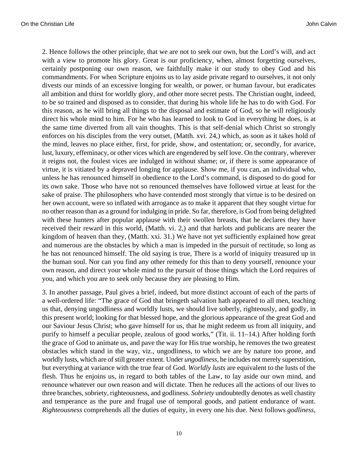2. Hence follows the other principle, that we are not to seek our own, but the Lord's will, and act with a view to promote his glory. Great is our proficiency, when, almost forgetting ourselves, certainly postponing our own reason, we faithfully make it our study to obey God and his commandments. For when Scripture enjoins us to lay aside private regard to ourselves, it not only divests our minds of an excessive longing for wealth, or power, or human favour, but eradicates all ambition and thirst for worldly glory, and other more secret pests. The Christian ought, indeed, to be so trained and disposed as to consider, that during his whole life he has to do with God. For this reason, as he will bring all things to the disposal and estimate of God, so he will religiously direct his whole mind to him. For he who has learned to look to God in everything he does, is at the same time diverted from all vain thoughts. This is that self-denial which Christ so strongly enforces on his disciples from the very outset, [\(Matth. xvi. 24,\)](http://www.ccel.org/b/bible/asv/xml/asv.Matt.16.xml#Matt.16.24) which, as soon as it takes hold of the mind, leaves no place either, first, for pride, show, and ostentation; or, secondly, for avarice, lust, luxury, effeminacy, or other vices which are engendered by self love. On the contrary, wherever it reigns not, the foulest vices are indulged in without shame; or, if there is some appearance of virtue, it is vitiated by a depraved longing for applause. Show me, if you can, an individual who, unless he has renounced himself in obedience to the Lord's command, is disposed to do good for its own sake. Those who have not so renounced themselves have followed virtue at least for the sake of praise. The philosophers who have contended most strongly that virtue is to be desired on her own account, were so inflated with arrogance as to make it apparent that they sought virtue for no other reason than as a ground for indulging in pride. So far, therefore, is God from being delighted with these hunters after popular applause with their swollen breasts, that he declares they have received their reward in this world, [\(Matth. vi. 2,](http://www.ccel.org/b/bible/asv/xml/asv.Matt.6.xml#Matt.6.2)) and that harlots and publicans are nearer the kingdom of heaven than they, [\(Matth. xxi. 31.\)](http://www.ccel.org/b/bible/asv/xml/asv.Matt.21.xml#Matt.21.31) We have not yet sufficiently explained how great and numerous are the obstacles by which a man is impeded in the pursuit of rectitude, so long as he has not renounced himself. The old saying is true, There is a world of iniquity treasured up in the human soul. Nor can you find any other remedy for this than to deny yourself, renounce your own reason, and direct your whole mind to the pursuit of those things which the Lord requires of you, and which you are to seek only because they are pleasing to Him.

3. In another passage, Paul gives a brief, indeed, but more distinct account of each of the parts of a well-ordered life: "The grace of God that bringeth salvation hath appeared to all men, teaching us that, denying ungodliness and worldly lusts, we should live soberly, righteously, and godly, in this present world; looking for that blessed hope, and the glorious appearance of the great God and our Saviour Jesus Christ; who gave himself for us, that he might redeem us from all iniquity, and purify to himself a peculiar people, zealous of good works," [\(Tit. ii. 11–14.\)](http://www.ccel.org/b/bible/asv/xml/asv.Titus.2.xml#Titus.2.11) After holding forth the grace of God to animate us, and pave the way for His true worship, he removes the two greatest obstacles which stand in the way, viz., ungodliness, to which we are by nature too prone, and worldly lusts, which are of still greater extent. Under *ungodliness,* he includes not merely superstition, but everything at variance with the true fear of God. *Worldly lusts* are equivalent to the lusts of the flesh. Thus he enjoins us, in regard to both tables of the Law, to lay aside our own mind, and renounce whatever our own reason and will dictate. Then he reduces all the actions of our lives to three branches, sobriety, righteousness, and godliness. *Sobriety* undoubtedly denotes as well chastity and temperance as the pure and frugal use of temporal goods, and patient endurance of want. *Righteousness* comprehends all the duties of equity, in every one his due. Next follows *godliness*,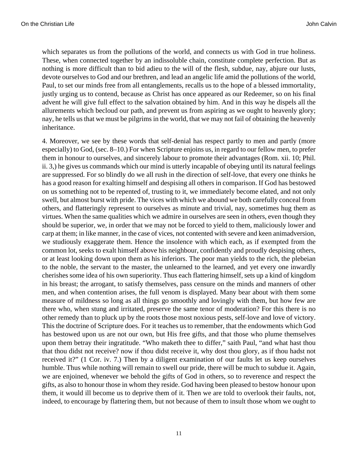which separates us from the pollutions of the world, and connects us with God in true holiness. These, when connected together by an indissoluble chain, constitute complete perfection. But as nothing is more difficult than to bid adieu to the will of the flesh, subdue, nay, abjure our lusts, devote ourselves to God and our brethren, and lead an angelic life amid the pollutions of the world, Paul, to set our minds free from all entanglements, recalls us to the hope of a blessed immortality, justly urging us to contend, because as Christ has once appeared as our Redeemer, so on his final advent he will give full effect to the salvation obtained by him. And in this way he dispels all the allurements which becloud our path, and prevent us from aspiring as we ought to heavenly glory; nay, he tells us that we must be pilgrims in the world, that we may not fail of obtaining the heavenly inheritance.

4. Moreover, we see by these words that self-denial has respect partly to men and partly (more especially) to God, (sec. 8–10.) For when Scripture enjoins us, in regard to our fellow men, to prefer them in honour to ourselves, and sincerely labour to promote their advantages ([Rom. xii. 10](http://www.ccel.org/b/bible/asv/xml/asv.Rom.12.xml#Rom.12.10); [Phil.](http://www.ccel.org/b/bible/asv/xml/asv.Phil.2.xml#Phil.2.3) [ii. 3,](http://www.ccel.org/b/bible/asv/xml/asv.Phil.2.xml#Phil.2.3)) he gives us commands which our mind is utterly incapable of obeying until its natural feelings are suppressed. For so blindly do we all rush in the direction of self-love, that every one thinks he has a good reason for exalting himself and despising all others in comparison. If God has bestowed on us something not to be repented of, trusting to it, we immediately become elated, and not only swell, but almost burst with pride. The vices with which we abound we both carefully conceal from others, and flatteringly represent to ourselves as minute and trivial, nay, sometimes hug them as virtues. When the same qualities which we admire in ourselves are seen in others, even though they should be superior, we, in order that we may not be forced to yield to them, maliciously lower and carp at them; in like manner, in the case of vices, not contented with severe and keen animadversion, we studiously exaggerate them. Hence the insolence with which each, as if exempted from the common lot, seeks to exalt himself above his neighbour, confidently and proudly despising others, or at least looking down upon them as his inferiors. The poor man yields to the rich, the plebeian to the noble, the servant to the master, the unlearned to the learned, and yet every one inwardly cherishes some idea of his own superiority. Thus each flattering himself, sets up a kind of kingdom in his breast; the arrogant, to satisfy themselves, pass censure on the minds and manners of other men, and when contention arises, the full venom is displayed. Many bear about with them some measure of mildness so long as all things go smoothly and lovingly with them, but how few are there who, when stung and irritated, preserve the same tenor of moderation? For this there is no other remedy than to pluck up by the roots those most noxious pests, self-love and love of victory. This the doctrine of Scripture does. For it teaches us to remember, that the endowments which God has bestowed upon us are not our own, but His free gifts, and that those who plume themselves upon them betray their ingratitude. "Who maketh thee to differ," saith Paul, "and what hast thou that thou didst not receive? now if thou didst receive it, why dost thou glory, as if thou hadst not received it?" [\(1 Cor. iv. 7.](http://www.ccel.org/b/bible/asv/xml/asv.iCor.4.xml#iCor.4.7)) Then by a diligent examination of our faults let us keep ourselves humble. Thus while nothing will remain to swell our pride, there will be much to subdue it. Again, we are enjoined, whenever we behold the gifts of God in others, so to reverence and respect the gifts, as also to honour those in whom they reside. God having been pleased to bestow honour upon them, it would ill become us to deprive them of it. Then we are told to overlook their faults, not, indeed, to encourage by flattering them, but not because of them to insult those whom we ought to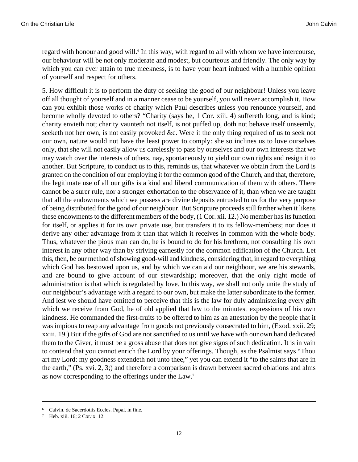regard with honour and good will.<sup>6</sup> In this way, with regard to all with whom we have intercourse, our behaviour will be not only moderate and modest, but courteous and friendly. The only way by which you can ever attain to true meekness, is to have your heart imbued with a humble opinion of yourself and respect for others.

5. How difficult it is to perform the duty of seeking the good of our neighbour! Unless you leave off all thought of yourself and in a manner cease to be yourself, you will never accomplish it. How can you exhibit those works of charity which Paul describes unless you renounce yourself, and become wholly devoted to others? "Charity (says he, [1 Cor. xiii. 4\)](http://www.ccel.org/b/bible/asv/xml/asv.iCor.13.xml#iCor.13.4) suffereth long, and is kind; charity envieth not; charity vaunteth not itself, is not puffed up, doth not behave itself unseemly, seeketh not her own, is not easily provoked &c. Were it the only thing required of us to seek not our own, nature would not have the least power to comply: she so inclines us to love ourselves only, that she will not easily allow us carelessly to pass by ourselves and our own interests that we may watch over the interests of others, nay, spontaneously to yield our own rights and resign it to another. But Scripture, to conduct us to this, reminds us, that whatever we obtain from the Lord is granted on the condition of our employing it for the common good of the Church, and that, therefore, the legitimate use of all our gifts is a kind and liberal communication of them with others. There cannot be a surer rule, nor a stronger exhortation to the observance of it, than when we are taught that all the endowments which we possess are divine deposits entrusted to us for the very purpose of being distributed for the good of our neighbour. But Scripture proceeds still farther when it likens these endowments to the different members of the body, [\(1 Cor. xii. 12.](http://www.ccel.org/b/bible/asv/xml/asv.iCor.12.xml#iCor.12.12)) No member has its function for itself, or applies it for its own private use, but transfers it to its fellow-members; nor does it derive any other advantage from it than that which it receives in common with the whole body. Thus, whatever the pious man can do, he is bound to do for his brethren, not consulting his own interest in any other way than by striving earnestly for the common edification of the Church. Let this, then, be our method of showing good-will and kindness, considering that, in regard to everything which God has bestowed upon us, and by which we can aid our neighbour, we are his stewards, and are bound to give account of our stewardship; moreover, that the only right mode of administration is that which is regulated by love. In this way, we shall not only unite the study of our neighbour's advantage with a regard to our own, but make the latter subordinate to the former. And lest we should have omitted to perceive that this is the law for duly administering every gift which we receive from God, he of old applied that law to the minutest expressions of his own kindness. He commanded the first-fruits to be offered to him as an attestation by the people that it was impious to reap any advantage from goods not previously consecrated to him, [\(Exod. xxii. 29;](http://www.ccel.org/b/bible/asv/xml/asv.Exod.22.xml#Exod.22.29) [xxiii. 19.](http://www.ccel.org/b/bible/asv/xml/asv.Exod.23.xml#Exod.23.19)) But if the gifts of God are not sanctified to us until we have with our own hand dedicated them to the Giver, it must be a gross abuse that does not give signs of such dedication. It is in vain to contend that you cannot enrich the Lord by your offerings. Though, as the Psalmist says "Thou art my Lord: my goodness extendeth not unto thee," yet you can extend it "to the saints that are in the earth," ([Ps. xvi. 2, 3;](http://www.ccel.org/b/bible/asv/xml/asv.Ps.16.xml#Ps.16.2 Bible:Ps.16.3)) and therefore a comparison is drawn between sacred oblations and alms as now corresponding to the offerings under the Law.<sup>7</sup>

<sup>6</sup> Calvin. de Sacerdotiis Eccles. Papal. in fine.

<sup>7</sup> [Heb. xiii. 16](http://www.ccel.org/b/bible/asv/xml/asv.Heb.13.xml#Heb.13.16); [2 Cor.ix. 12.](http://www.ccel.org/b/bible/asv/xml/asv.iiCor.9.xml#iiCor.9.12)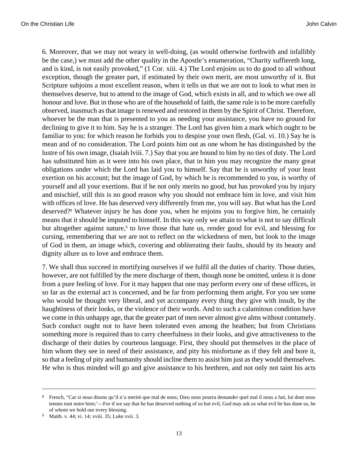6. Moreover, that we may not weary in well-doing, (as would otherwise forthwith and infallibly be the case,) we must add the other quality in the Apostle's enumeration, "Charity suffiereth long, and is kind, is not easily provoked," ([1 Cor. xiii. 4](http://www.ccel.org/b/bible/asv/xml/asv.iCor.13.xml#iCor.13.4).) The Lord enjoins us to do good to all without exception, though the greater part, if estimated by their own merit, are most unworthy of it. But Scripture subjoins a most excellent reason, when it tells us that we are not to look to what men in themselves deserve, but to attend to the image of God, which exists in all, and to which we owe all honour and love. But in those who are of the household of faith, the same rule is to be more carefully observed, inasmuch as that image is renewed and restored in them by the Spirit of Christ. Therefore, whoever be the man that is presented to you as needing your assistance, you have no ground for declining to give it to him. Say he is a stranger. The Lord has given him a mark which ought to be familiar to you: for which reason he forbids you to despise your own flesh, ([Gal. vi. 10](http://www.ccel.org/b/bible/asv/xml/asv.Gal.6.xml#Gal.6.10).) Say he is mean and of no consideration. The Lord points him out as one whom he has distinguished by the lustre of his own image, [\(Isaiah lviii. 7](http://www.ccel.org/b/bible/asv/xml/asv.Isa.58.xml#Isa.58.7).) Say that you are bound to him by no ties of duty. The Lord has substituted him as it were into his own place, that in him you may recognize the many great obligations under which the Lord has laid you to himself. Say that he is unworthy of your least exertion on his account; but the image of God, by which he is recommended to you, is worthy of yourself and all your exertions. But if he not only merits no good, but has provoked you by injury and mischief, still this is no good reason why you should not embrace him in love, and visit him with offices of love. He has deserved very differently from me, you will say. But what has the Lord deserved?<sup>8</sup> Whatever injury he has done you, when he enjoins you to forgive him, he certainly means that it should be imputed to himself. In this way only we attain to what is not to say difficult but altogether against nature,<sup>9</sup> to love those that hate us, render good for evil, and blessing for cursing, remembering that we are not to reflect on the wickedness of men, but look to the image of God in them, an image which, covering and obliterating their faults, should by its beauty and dignity allure us to love and embrace them.

7. We shall thus succeed in mortifying ourselves if we fulfil all the duties of charity. Those duties, however, are not fulfilled by the mere discharge of them, though none be omitted, unless it is done from a pure feeling of love. For it may happen that one may perform every one of these offices, in so far as the external act is concerned, and be far from performing them aright. For you see some who would be thought very liberal, and yet accompany every thing they give with insult, by the haughtiness of their looks, or the violence of their words. And to such a calamitous condition have we come in this unhappy age, that the greater part of men never almost give alms without contumely. Such conduct ought not to have been tolerated even among the heathen; but from Christians something more is required than to carry cheerfulness in their looks, and give attractiveness to the discharge of their duties by courteous language. First, they should put themselves in the place of him whom they see in need of their assistance, and pity his misfortune as if they felt and bore it, so that a feeling of pity and humanity should incline them to assist him just as they would themselves. He who is thus minded will go and give assistance to his brethren, and not only not taint his acts

<span id="page-16-0"></span><sup>8</sup> French, "Car si nous disons qu'il n'a merité que mal de nous; Dieu nous pourra demander quel mal il nous a fait, lui dont nous tenons tout notre bien;'—For if we say that he has deserved nothing of us but evil, God may ask us what evil he has done us, he of whom we hold our every blessing.

[Matth. v. 44](http://www.ccel.org/b/bible/asv/xml/asv.Matt.5.xml#Matt.5.44); [vi. 14](http://www.ccel.org/b/bible/asv/xml/asv.Matt.6.xml#Matt.6.14); [xviii. 35](http://www.ccel.org/b/bible/asv/xml/asv.Matt.18.xml#Matt.18.35); [Luke xvii. 3](http://www.ccel.org/b/bible/asv/xml/asv.Luke.17.xml#Luke.17.3).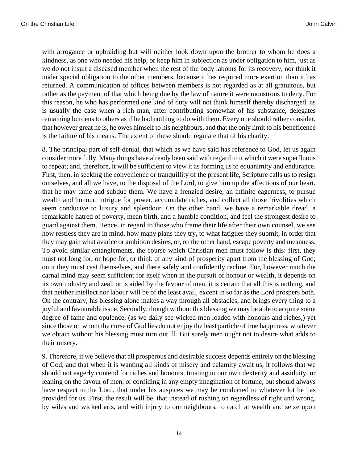with arrogance or upbraiding but will neither look down upon the brother to whom he does a kindness, as one who needed his help, or keep him in subjection as under obligation to him, just as we do not insult a diseased member when the rest of the body labours for its recovery, nor think it under special obligation to the other members, because it has required more exertion than it has returned. A communication of offices between members is not regarded as at all gratuitous, but rather as the payment of that which being due by the law of nature it were monstrous to deny. For this reason, he who has performed one kind of duty will not think himself thereby discharged, as is usually the case when a rich man, after contributing somewhat of his substance, delegates remaining burdens to others as if he had nothing to do with them. Every one should rather consider, that however great he is, he owes himself to his neighbours, and that the only limit to his beneficence is the failure of his means. The extent of these should regulate that of his charity.

8. The principal part of self-denial, that which as we have said has reference to God, let us again consider more fully. Many things have already been said with regard to it which it were superfluous to repeat; and, therefore, it will be sufficient to view it as forming us to equanimity and endurance. First, then, in seeking the convenience or tranquillity of the present life, Scripture calls us to resign ourselves, and all we have, to the disposal of the Lord, to give him up the affections of our heart, that he may tame and subdue them. We have a frenzied desire, an infinite eagerness, to pursue wealth and honour, intrigue for power, accumulate riches, and collect all those frivolities which seem conducive to luxury and splendour. On the other hand, we have a remarkable dread, a remarkable hatred of poverty, mean birth, and a humble condition, and feel the strongest desire to guard against them. Hence, in regard to those who frame their life after their own counsel, we see how restless they are in mind, how many plans they try, to what fatigues they submit, in order that they may gain what avarice or ambition desires, or, on the other hand, escape poverty and meanness. To avoid similar entanglements, the course which Christian men must follow is this: first, they must not long for, or hope for, or think of any kind of prosperity apart from the blessing of God; on it they must cast themselves, and there safely and confidently recline. For, however much the carnal mind may seem sufficient for itself when in the pursuit of honour or wealth, it depends on its own industry and zeal, or is aided by the favour of men, it is certain that all this is nothing, and that neither intellect nor labour will be of the least avail, except in so far as the Lord prospers both. On the contrary, his blessing alone makes a way through all obstacles, and brings every thing to a joyful and favourable issue. Secondly, though without this blessing we may be able to acquire some degree of fame and opulence, (as we daily see wicked men loaded with honours and riches,) yet since those on whom the curse of God lies do not enjoy the least particle of true happiness, whatever we obtain without his blessing must turn out ill. But surely men ought not to desire what adds to their misery.

9. Therefore, if we believe that all prosperous and desirable success depends entirely on the blessing of God, and that when it is wanting all kinds of misery and calamity await us, it follows that we should not eagerly contend for riches and honours, trusting to our own dexterity and assiduity, or leaning on the favour of men, or confiding in any empty imagination of fortune; but should always have respect to the Lord, that under his auspices we may be conducted to whatever lot he has provided for us. First, the result will be, that instead of rushing on regardless of right and wrong, by wiles and wicked arts, and with injury to our neighbours, to catch at wealth and seize upon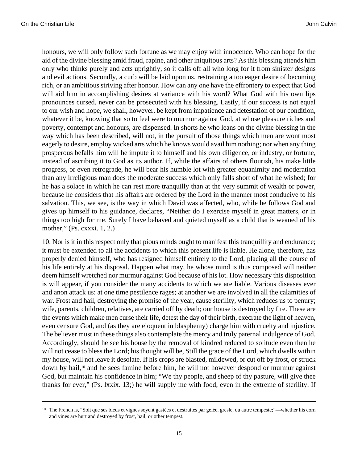honours, we will only follow such fortune as we may enjoy with innocence. Who can hope for the aid of the divine blessing amid fraud, rapine, and other iniquitous arts? As this blessing attends him only who thinks purely and acts uprightly, so it calls off all who long for it from sinister designs and evil actions. Secondly, a curb will be laid upon us, restraining a too eager desire of becoming rich, or an ambitious striving after honour. How can any one have the effrontery to expect that God will aid him in accomplishing desires at variance with his word? What God with his own lips pronounces cursed, never can be prosecuted with his blessing. Lastly, if our success is not equal to our wish and hope, we shall, however, be kept from impatience and detestation of our condition, whatever it be, knowing that so to feel were to murmur against God, at whose pleasure riches and poverty, contempt and honours, are dispensed. In shorts he who leans on the divine blessing in the way which has been described, will not, in the pursuit of those things which men are wont most eagerly to desire, employ wicked arts which he knows would avail him nothing; nor when any thing prosperous befalls him will he impute it to himself and his own diligence, or industry, or fortune, instead of ascribing it to God as its author. If, while the affairs of others flourish, his make little progress, or even retrograde, he will bear his humble lot with greater equanimity and moderation than any irreligious man does the moderate success which only falls short of what he wished; for he has a solace in which he can rest more tranquilly than at the very summit of wealth or power, because he considers that his affairs are ordered by the Lord in the manner most conducive to his salvation. This, we see, is the way in which David was affected, who, while he follows God and gives up himself to his guidance, declares, "Neither do I exercise myself in great matters, or in things too high for me. Surely I have behaved and quieted myself as a child that is weaned of his mother," [\(Ps. cxxxi. 1, 2](http://www.ccel.org/b/bible/asv/xml/asv.Ps.131.xml#Ps.131.1 Bible:Ps.131.2).)

10. Nor is it in this respect only that pious minds ought to manifest this tranquillity and endurance; it must be extended to all the accidents to which this present life is liable. He alone, therefore, has properly denied himself, who has resigned himself entirely to the Lord, placing all the course of his life entirely at his disposal. Happen what may, he whose mind is thus composed will neither deem himself wretched nor murmur against God because of his lot. How necessary this disposition is will appear, if you consider the many accidents to which we are liable. Various diseases ever and anon attack us: at one time pestilence rages; at another we are involved in all the calamities of war. Frost and hail, destroying the promise of the year, cause sterility, which reduces us to penury; wife, parents, children, relatives, are carried off by death; our house is destroyed by fire. These are the events which make men curse their life, detest the day of their birth, execrate the light of heaven, even censure God, and (as they are eloquent in blasphemy) charge him with cruelty and injustice. The believer must in these things also contemplate the mercy and truly paternal indulgence of God. Accordingly, should he see his house by the removal of kindred reduced to solitude even then he will not cease to bless the Lord; his thought will be, Still the grace of the Lord, which dwells within my house, will not leave it desolate. If his crops are blasted, mildewed, or cut off by frost, or struck down by hail,<sup>10</sup> and he sees famine before him, he will not however despond or murmur against God, but maintain his confidence in him; "We thy people, and sheep of thy pasture, will give thee thanks for ever," ([Ps. lxxix. 13;](http://www.ccel.org/b/bible/asv/xml/asv.Ps.79.xml#Ps.79.13)) he will supply me with food, even in the extreme of sterility. If

<span id="page-18-0"></span><sup>10</sup> The French is, "Soit que ses bleds et vignes soyent gastées et destruites par gelée, gresle, ou autre tempeste;"—whether his corn and vines are hurt and destroyed by frost, hail, or other tempest.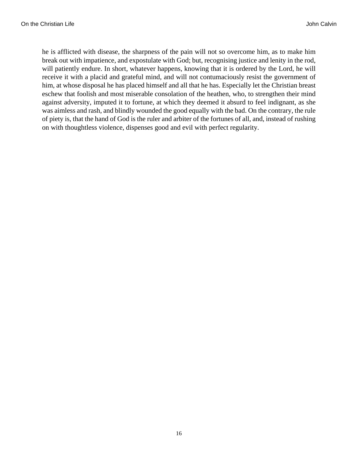he is afflicted with disease, the sharpness of the pain will not so overcome him, as to make him break out with impatience, and expostulate with God; but, recognising justice and lenity in the rod, will patiently endure. In short, whatever happens, knowing that it is ordered by the Lord, he will receive it with a placid and grateful mind, and will not contumaciously resist the government of him, at whose disposal he has placed himself and all that he has. Especially let the Christian breast eschew that foolish and most miserable consolation of the heathen, who, to strengthen their mind against adversity, imputed it to fortune, at which they deemed it absurd to feel indignant, as she was aimless and rash, and blindly wounded the good equally with the bad. On the contrary, the rule of piety is, that the hand of God is the ruler and arbiter of the fortunes of all, and, instead of rushing on with thoughtless violence, dispenses good and evil with perfect regularity.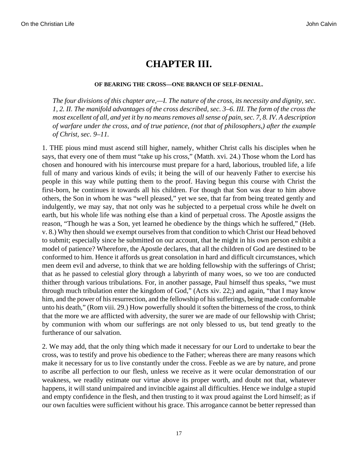# **CHAPTER III.**

#### **OF BEARING THE CROSS—ONE BRANCH OF SELF-DENIAL.**

<span id="page-20-0"></span>*The four divisions of this chapter are,—I. The nature of the cross, its necessity and dignity, sec. 1, 2. II. The manifold advantages of the cross described, sec. 3–6. III. The form of the cross the most excellent of all, and yet it by no means removes all sense of pain, sec. 7, 8. IV. A description of warfare under the cross, and of true patience, (not that of philosophers,) after the example of Christ, sec. 9–11.*

1. THE pious mind must ascend still higher, namely, whither Christ calls his disciples when he says, that every one of them must "take up his cross," [\(Matth. xvi. 24.](http://www.ccel.org/b/bible/asv/xml/asv.Matt.16.xml#Matt.16.24)) Those whom the Lord has chosen and honoured with his intercourse must prepare for a hard, laborious, troubled life, a life full of many and various kinds of evils; it being the will of our heavenly Father to exercise his people in this way while putting them to the proof. Having begun this course with Christ the first-born, he continues it towards all his children. For though that Son was dear to him above others, the Son in whom he was "well pleased," yet we see, that far from being treated gently and indulgently, we may say, that not only was he subjected to a perpetual cross while he dwelt on earth, but his whole life was nothing else than a kind of perpetual cross. The Apostle assigns the reason, "Though he was a Son, yet learned he obedience by the things which he suffered," [\(Heb.](http://www.ccel.org/b/bible/asv/xml/asv.Heb.5.xml#Heb.5.8) [v. 8](http://www.ccel.org/b/bible/asv/xml/asv.Heb.5.xml#Heb.5.8).) Why then should we exempt ourselves from that condition to which Christ our Head behoved to submit; especially since he submitted on our account, that he might in his own person exhibit a model of patience? Wherefore, the Apostle declares, that all the children of God are destined to be conformed to him. Hence it affords us great consolation in hard and difficult circumstances, which men deem evil and adverse, to think that we are holding fellowship with the sufferings of Christ; that as he passed to celestial glory through a labyrinth of many woes, so we too are conducted thither through various tribulations. For, in another passage, Paul himself thus speaks, "we must through much tribulation enter the kingdom of God," ([Acts xiv. 22](http://www.ccel.org/b/bible/asv/xml/asv.Acts.14.xml#Acts.14.22);) and again, "that I may know him, and the power of his resurrection, and the fellowship of his sufferings, being made conformable unto his death," [\(Rom viii. 29](http://www.ccel.org/b/bible/asv/xml/asv.Rom.8.xml#Rom.8.29).) How powerfully should it soften the bitterness of the cross, to think that the more we are afflicted with adversity, the surer we are made of our fellowship with Christ; by communion with whom our sufferings are not only blessed to us, but tend greatly to the furtherance of our salvation.

2. We may add, that the only thing which made it necessary for our Lord to undertake to bear the cross, was to testify and prove his obedience to the Father; whereas there are many reasons which make it necessary for us to live constantly under the cross. Feeble as we are by nature, and prone to ascribe all perfection to our flesh, unless we receive as it were ocular demonstration of our weakness, we readily estimate our virtue above its proper worth, and doubt not that, whatever happens, it will stand unimpaired and invincible against all difficulties. Hence we indulge a stupid and empty confidence in the flesh, and then trusting to it wax proud against the Lord himself; as if our own faculties were sufficient without his grace. This arrogance cannot be better repressed than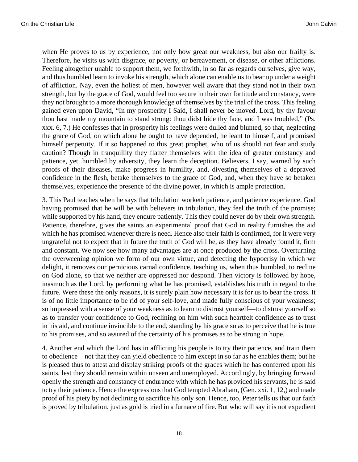when He proves to us by experience, not only how great our weakness, but also our frailty is. Therefore, he visits us with disgrace, or poverty, or bereavement, or disease, or other afflictions. Feeling altogether unable to support them, we forthwith, in so far as regards ourselves, give way, and thus humbled learn to invoke his strength, which alone can enable us to bear up under a weight of affliction. Nay, even the holiest of men, however well aware that they stand not in their own strength, but by the grace of God, would feel too secure in their own fortitude and constancy, were they not brought to a more thorough knowledge of themselves by the trial of the cross. This feeling gained even upon David, "In my prosperity I Said, I shall never be moved. Lord, by thy favour thou hast made my mountain to stand strong: thou didst hide thy face, and I was troubled," ([Ps.](http://www.ccel.org/b/bible/asv/xml/asv.Ps.30.xml#Ps.30.6 Bible:Ps.30.7) [xxx. 6, 7.](http://www.ccel.org/b/bible/asv/xml/asv.Ps.30.xml#Ps.30.6 Bible:Ps.30.7)) He confesses that in prosperity his feelings were dulled and blunted, so that, neglecting the grace of God, on which alone he ought to have depended, he leant to himself, and promised himself perpetuity. If it so happened to this great prophet, who of us should not fear and study caution? Though in tranquillity they flatter themselves with the idea of greater constancy and patience, yet, humbled by adversity, they learn the deception. Believers, I say, warned by such proofs of their diseases, make progress in humility, and, divesting themselves of a depraved confidence in the flesh, betake themselves to the grace of God, and, when they have so betaken themselves, experience the presence of the divine power, in which is ample protection.

3. This Paul teaches when he says that tribulation worketh patience, and patience experience. God having promised that he will be with believers in tribulation, they feel the truth of the promise; while supported by his hand, they endure patiently. This they could never do by their own strength. Patience, therefore, gives the saints an experimental proof that God in reality furnishes the aid which he has promised whenever there is need. Hence also their faith is confirmed, for it were very ungrateful not to expect that in future the truth of God will be, as they have already found it, firm and constant. We now see how many advantages are at once produced by the cross. Overturning the overweening opinion we form of our own virtue, and detecting the hypocrisy in which we delight, it removes our pernicious carnal confidence, teaching us, when thus humbled, to recline on God alone, so that we neither are oppressed nor despond. Then victory is followed by hope, inasmuch as the Lord, by performing what he has promised, establishes his truth in regard to the future. Were these the only reasons, it is surely plain how necessary it is for us to bear the cross. It is of no little importance to be rid of your self-love, and made fully conscious of your weakness; so impressed with a sense of your weakness as to learn to distrust yourself—to distrust yourself so as to transfer your confidence to God, reclining on him with such heartfelt confidence as to trust in his aid, and continue invincible to the end, standing by his grace so as to perceive that he is true to his promises, and so assured of the certainty of his promises as to be strong in hope.

4. Another end which the Lord has in afflicting his people is to try their patience, and train them to obedience—not that they can yield obedience to him except in so far as he enables them; but he is pleased thus to attest and display striking proofs of the graces which he has conferred upon his saints, lest they should remain within unseen and unemployed. Accordingly, by bringing forward openly the strength and constancy of endurance with which he has provided his servants, he is said to try their patience. Hence the expressions that God tempted Abraham, ([Gen. xxi. 1, 12](http://www.ccel.org/b/bible/asv/xml/asv.Gen.21.xml#Gen.21.1 Bible:Gen.21.12),) and made proof of his piety by not declining to sacrifice his only son. Hence, too, Peter tells us that our faith is proved by tribulation, just as gold is tried in a furnace of fire. But who will say it is not expedient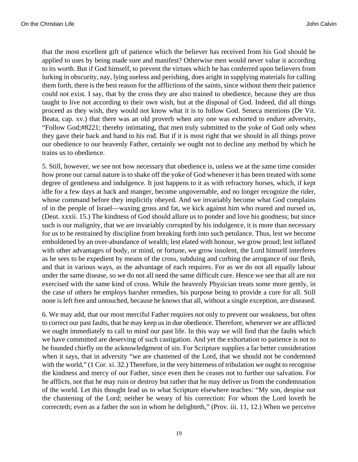that the most excellent gift of patience which the believer has received from his God should be applied to uses by being made sure and manifest? Otherwise men would never value it according to its worth. But if God himself, to prevent the virtues which he has conferred upon believers from lurking in obscurity, nay, lying useless and perishing, does aright in supplying materials for calling them forth, there is the best reason for the afflictions of the saints, since without them their patience could not exist. I say, that by the cross they are also trained to obedience, because they are thus taught to live not according to their own wish, but at the disposal of God. Indeed, did all things proceed as they wish, they would not know what it is to follow God. Seneca mentions (De Vit. Beata, cap. xv.) that there was an old proverb when any one was exhorted to endure adversity, "Follow God;#8221; thereby intimating, that men truly submitted to the yoke of God only when they gave their back and hand to his rod. But if it is most right that we should in all things prove our obedience to our heavenly Father, certainly we ought not to decline any method by which he trains us to obedience.

5. Still, however, we see not how necessary that obedience is, unless we at the same time consider how prone our carnal nature is to shake off the yoke of God whenever it has been treated with some degree of gentleness and indulgence. It just happens to it as with refractory horses, which, if kept idle for a few days at hack and manger, become ungovernable, and no longer recognize the rider, whose command before they implicitly obeyed. And we invariably become what God complains of in the people of Israel—waxing gross and fat, we kick against him who reared and nursed us, ([Deut. xxxii. 15.](http://www.ccel.org/b/bible/asv/xml/asv.Deut.32.xml#Deut.32.15)) The kindness of God should allure us to ponder and love his goodness; but since such is our malignity, that we are invariably corrupted by his indulgence, it is more than necessary for us to be restrained by discipline from breaking forth into such petulance. Thus, lest we become emboldened by an over-abundance of wealth; lest elated with honour, we grow proud; lest inflated with other advantages of body, or mind, or fortune, we grow insolent, the Lord himself interferes as he sees to be expedient by means of the cross, subduing and curbing the arrogance of our flesh, and that in various ways, as the advantage of each requires. For as we do not all equally labour under the same disease, so we do not all need the same difficult cure. Hence we see that all are not exercised with the same kind of cross. While the heavenly Physician treats some more gently, in the case of others he employs harsher remedies, his purpose being to provide a cure for all. Still none is left free and untouched, because he knows that all, without a single exception, are diseased.

6. We may add, that our most merciful Father requires not only to prevent our weakness, but often to correct our past faults, that he may keep us in due obedience. Therefore, whenever we are afflicted we ought immediately to call to mind our past life. In this way we will find that the faults which we have committed are deserving of such castigation. And yet the exhortation to patience is not to be founded chiefly on the acknowledgment of sin. For Scripture supplies a far better consideration when it says, that in adversity "we are chastened of the Lord, that we should not be condemned with the world," [\(1 Cor. xi. 32](http://www.ccel.org/b/bible/asv/xml/asv.iCor.11.xml#iCor.11.32).) Therefore, in the very bitterness of tribulation we ought to recognise the kindness and mercy of our Father, since even then he ceases not to further our salvation. For he afflicts, not that he may ruin or destroy but rather that he may deliver us from the condemnation of the world. Let this thought lead us to what Scripture elsewhere teaches: "My son, despise not the chastening of the Lord; neither be weary of his correction: For whom the Lord loveth he correcteth; even as a father the son in whom he delighteth," ([Prov. iii. 11, 12](http://www.ccel.org/b/bible/asv/xml/asv.Prov.3.xml#Prov.3.11 Bible:Prov.3.12).) When we perceive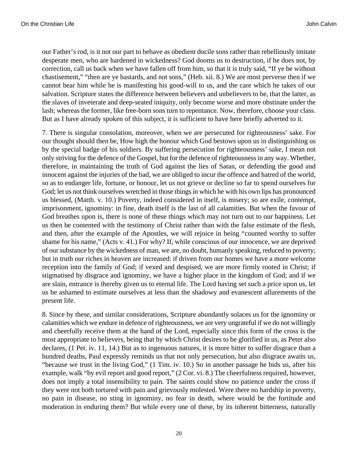our Father's rod, is it not our part to behave as obedient docile sons rather than rebelliously imitate desperate men, who are hardened in wickedness? God dooms us to destruction, if he does not, by correction, call us back when we have fallen off from him, so that it is truly said, "If ye be without chastisement," "then are ye bastards, and not sons," ([Heb. xii. 8.](http://www.ccel.org/b/bible/asv/xml/asv.Heb.12.xml#Heb.12.8)) We are most perverse then if we cannot bear him while he is manifesting his good-will to us, and the care which he takes of our salvation. Scripture states the difference between believers and unbelievers to be, that the latter, as the slaves of inveterate and deep-seated iniquity, only become worse and more obstinate under the lash; whereas the former, like free-born sons turn to repentance. Now, therefore, choose your class. But as I have already spoken of this subject, it is sufficient to have here briefly adverted to it.

7. There is singular consolation, moreover, when we are persecuted for righteousness' sake. For our thought should then be, How high the honour which God bestows upon us in distinguishing us by the special badge of his soldiers. By suffering persecution for righteousness' sake, I mean not only striving for the defence of the Gospel, but for the defence of righteousness in any way. Whether, therefore, in maintaining the truth of God against the lies of Satan, or defending the good and innocent against the injuries of the bad, we are obliged to incur the offence and hatred of the world, so as to endanger life, fortune, or honour, let us not grieve or decline so far to spend ourselves for God; let us not think ourselves wretched in those things in which he with his own lips has pronounced us blessed, ([Matth. v. 10](http://www.ccel.org/b/bible/asv/xml/asv.Matt.5.xml#Matt.5.10).) Poverty, indeed considered in itself, is misery; so are exile, contempt, imprisonment, ignominy: in fine, death itself is the last of all calamities. But when the favour of God breathes upon is, there is none of these things which may not turn out to our happiness. Let us then be contented with the testimony of Christ rather than with the false estimate of the flesh, and then, after the example of the Apostles, we will rejoice in being "counted worthy to suffer shame for his name," ([Acts v. 41.](http://www.ccel.org/b/bible/asv/xml/asv.Acts.5.xml#Acts.5.41)) For why? If, while conscious of our innocence, we are deprived of our substance by the wickedness of man, we are, no doubt, humanly speaking, reduced to poverty; but in truth our riches in heaven are increased: if driven from our homes we have a more welcome reception into the family of God; if vexed and despised, we are more firmly rooted in Christ; if stigmatised by disgrace and ignominy, we have a higher place in the kingdom of God; and if we are slain, entrance is thereby given us to eternal life. The Lord having set such a price upon us, let us be ashamed to estimate ourselves at less than the shadowy and evanescent allurements of the present life.

8. Since by these, and similar considerations, Scripture abundantly solaces us for the ignominy or calamities which we endure in defence of righteousness, we are very ungrateful if we do not willingly and cheerfully receive them at the hand of the Lord, especially since this form of the cross is the most appropriate to believers, being that by which Christ desires to be glorified in us, as Peter also declares, [\(1 Pet. iv. 11, 14.](http://www.ccel.org/b/bible/asv/xml/asv.iPet.4.xml#iPet.4.11 Bible:1Pet.4.14)) But as to ingenuous natures, it is more bitter to suffer disgrace than a hundred deaths, Paul expressly reminds us that not only persecution, but also disgrace awaits us, "because we trust in the living God," ([1 Tim. iv. 10.](http://www.ccel.org/b/bible/asv/xml/asv.iTim.4.xml#iTim.4.10)) So in another passage he bids us, after his example, walk "by evil report and good report," ([2 Cor. vi. 8](http://www.ccel.org/b/bible/asv/xml/asv.iiCor.6.xml#iiCor.6.8).) The cheerfulness required, however, does not imply a total insensibility to pain. The saints could show no patience under the cross if they were not both tortured with pain and grievously molested. Were there no hardship in poverty, no pain in disease, no sting in ignominy, no fear in death, where would be the fortitude and moderation in enduring them? But while every one of these, by its inherent bitterness, naturally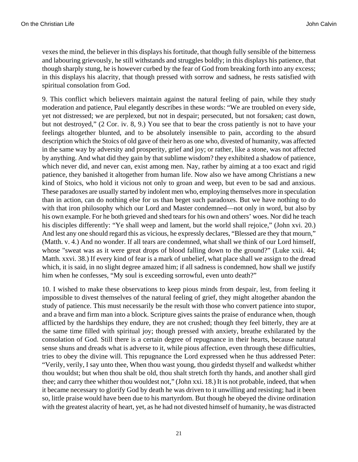vexes the mind, the believer in this displays his fortitude, that though fully sensible of the bitterness and labouring grievously, he still withstands and struggles boldly; in this displays his patience, that though sharply stung, he is however curbed by the fear of God from breaking forth into any excess; in this displays his alacrity, that though pressed with sorrow and sadness, he rests satisfied with spiritual consolation from God.

9. This conflict which believers maintain against the natural feeling of pain, while they study moderation and patience, Paul elegantly describes in these words: "We are troubled on every side, yet not distressed; we are perplexed, but not in despair; persecuted, but not forsaken; cast down, but not destroyed," ([2 Cor. iv. 8, 9](http://www.ccel.org/b/bible/asv/xml/asv.iiCor.4.xml#iiCor.4.8 Bible:2Cor.4.9).) You see that to bear the cross patiently is not to have your feelings altogether blunted, and to be absolutely insensible to pain, according to the absurd description which the Stoics of old gave of their hero as one who, divested of humanity, was affected in the same way by adversity and prosperity, grief and joy; or rather, like a stone, was not affected by anything. And what did they gain by that sublime wisdom? they exhibited a shadow of patience, which never did, and never can, exist among men. Nay, rather by aiming at a too exact and rigid patience, they banished it altogether from human life. Now also we have among Christians a new kind of Stoics, who hold it vicious not only to groan and weep, but even to be sad and anxious. These paradoxes are usually started by indolent men who, employing themselves more in speculation than in action, can do nothing else for us than beget such paradoxes. But we have nothing to do with that iron philosophy which our Lord and Master condemned—not only in word, but also by his own example. For he both grieved and shed tears for his own and others' woes. Nor did he teach his disciples differently: "Ye shall weep and lament, but the world shall rejoice," [\(John xvi. 20](http://www.ccel.org/b/bible/asv/xml/asv.John.16.xml#John.16.20).) And lest any one should regard this as vicious, he expressly declares, "Blessed are they that mourn," ([Matth. v. 4](http://www.ccel.org/b/bible/asv/xml/asv.Matt.5.xml#Matt.5.4).) And no wonder. If all tears are condemned, what shall we think of our Lord himself, whose "sweat was as it were great drops of blood falling down to the ground?" [\(Luke xxii. 44;](http://www.ccel.org/b/bible/asv/xml/asv.Luke.22.xml#Luke.22.44) [Matth. xxvi. 38](http://www.ccel.org/b/bible/asv/xml/asv.Matt.26.xml#Matt.26.38).) If every kind of fear is a mark of unbelief, what place shall we assign to the dread which, it is said, in no slight degree amazed him; if all sadness is condemned, how shall we justify him when he confesses, "My soul is exceeding sorrowful, even unto death?"

10. I wished to make these observations to keep pious minds from despair, lest, from feeling it impossible to divest themselves of the natural feeling of grief, they might altogether abandon the study of patience. This must necessarily be the result with those who convert patience into stupor, and a brave and firm man into a block. Scripture gives saints the praise of endurance when, though afflicted by the hardships they endure, they are not crushed; though they feel bitterly, they are at the same time filled with spiritual joy; though pressed with anxiety, breathe exhilarated by the consolation of God. Still there is a certain degree of repugnance in their hearts, because natural sense shuns and dreads what is adverse to it, while pious affection, even through these difficulties, tries to obey the divine will. This repugnance the Lord expressed when he thus addressed Peter: "Verily, verily, I say unto thee, When thou wast young, thou girdedst thyself and walkedst whither thou wouldst; but when thou shalt be old, thou shalt stretch forth thy hands, and another shall gird thee; and carry thee whither thou wouldest not," ([John xxi. 18](http://www.ccel.org/b/bible/asv/xml/asv.John.21.xml#John.21.18).) It is not probable, indeed, that when it became necessary to glorify God by death he was driven to it unwilling and resisting; had it been so, little praise would have been due to his martyrdom. But though he obeyed the divine ordination with the greatest alacrity of heart, yet, as he had not divested himself of humanity, he was distracted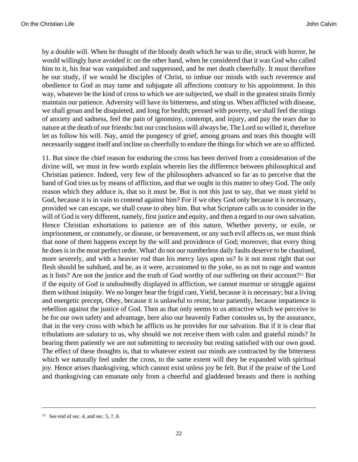by a double will. When he thought of the bloody death which he was to die, struck with horror, he would willingly have avoided it: on the other hand, when he considered that it was God who called him to it, his fear was vanquished and suppressed, and he met death cheerfully. It must therefore be our study, if we would be disciples of Christ, to imbue our minds with such reverence and obedience to God as may tame and subjugate all affections contrary to his appointment. In this way, whatever be the kind of cross to which we are subjected, we shall in the greatest straits firmly maintain our patience. Adversity will have its bitterness, and sting us. When afflicted with disease, we shall groan and be disquieted, and long for health; pressed with poverty, we shall feel the stings of anxiety and sadness, feel the pain of ignominy, contempt, and injury, and pay the tears due to nature at the death of our friends: but our conclusion will always be, The Lord so willed it, therefore let us follow his will. Nay, amid the pungency of grief, among groans and tears this thought will necessarily suggest itself and incline us cheerfully to endure the things for which we are so afflicted.

11. But since the chief reason for enduring the cross has been derived from a consideration of the divine will, we must in few words explain wherein lies the difference between philosophical and Christian patience. Indeed, very few of the philosophers advanced so far as to perceive that the hand of God tries us by means of affliction, and that we ought in this matter to obey God. The only reason which they adduce is, that so it must be. But is not this just to say, that we must yield to God, because it is in vain to contend against him? For if we obey God only because it is necessary, provided we can escape, we shall cease to obey him. But what Scripture calls us to consider in the will of God is very different, namely, first justice and equity, and then a regard to our own salvation. Hence Christian exhortations to patience are of this nature, Whether poverty, or exile, or imprisonment, or contumely, or disease, or bereavement, or any such evil affects us, we must think that none of them happens except by the will and providence of God; moreover, that every thing he does is in the most perfect order. What! do not our numberless daily faults deserve to be chastised, more severely, and with a heavier rod than his mercy lays upon us? Is it not most right that our flesh should be subdued, and be, as it were, accustomed to the yoke, so as not to rage and wanton as it lists? Are not the justice and the truth of God worthy of our suffering on their account?11 But if the equity of God is undoubtedly displayed in affliction, we cannot murmur or struggle against them without iniquity. We no longer hear the frigid cant, Yield, because it is necessary; but a living and energetic precept, Obey, because it is unlawful to resist; bear patiently, because impatience is rebellion against the justice of God. Then as that only seems to us attractive which we perceive to be for our own safety and advantage, here also our heavenly Father consoles us, by the assurance, that in the very cross with which he afflicts us he provides for our salvation. But if it is clear that tribulations are salutary to us, why should we not receive them with calm and grateful minds? In bearing them patiently we are not submitting to necessity but resting satisfied with our own good. The effect of these thoughts is, that to whatever extent our minds are contracted by the bitterness which we naturally feel under the cross, to the same extent will they be expanded with spiritual joy. Hence arises thanksgiving, which cannot exist unless joy be felt. But if the praise of the Lord and thanksgiving can emanate only from a cheerful and gladdened breasts and there is nothing

<sup>&</sup>lt;sup>11</sup> See end of sec. 4, and sec. 5, 7, 8.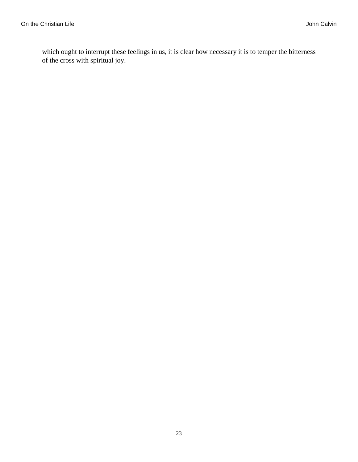which ought to interrupt these feelings in us, it is clear how necessary it is to temper the bitterness of the cross with spiritual joy.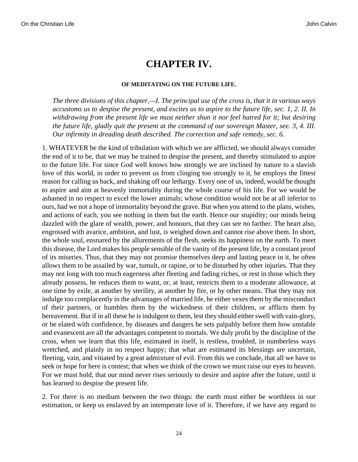### **CHAPTER IV.**

#### **OF MEDITATING ON THE FUTURE LIFE.**

<span id="page-27-0"></span>*The three divisions of this chapter,—I. The principal use of the cross is, that it in various ways accustoms us to despise the present, and excites us to aspire to the future life, sec. 1, 2. II. In withdrawing from the present life we must neither shun it nor feel hatred for it; but desiring the future life, gladly quit the present at the command of our sovereign Master, see. 3, 4. III. Our infirmity in dreading death described. The correction and safe remedy, sec. 6.*

1. WHATEVER be the kind of tribulation with which we are afflicted, we should always consider the end of it to be, that we may be trained to despise the present, and thereby stimulated to aspire to the future life. For since God well knows how strongly we are inclined by nature to a slavish love of this world, in order to prevent us from clinging too strongly to it, he employs the fittest reason for calling us back, and shaking off our lethargy. Every one of us, indeed, would be thought to aspire and aim at heavenly immortality during the whole course of his life. For we would be ashamed in no respect to excel the lower animals; whose condition would not be at all inferior to ours, had we not a hope of immortality beyond the grave. But when you attend to the plans, wishes, and actions of each, you see nothing in them but the earth. Hence our stupidity; our minds being dazzled with the glare of wealth, power, and honours, that they can see no farther. The heart also, engrossed with avarice, ambition, and lust, is weighed down and cannot rise above them. In short, the whole soul, ensnared by the allurements of the flesh, seeks its happiness on the earth. To meet this disease, the Lord makes his people sensible of the vanity of the present life, by a constant proof of its miseries. Thus, that they may not promise themselves deep and lasting peace in it, he often allows them to be assailed by war, tumult, or rapine, or to be disturbed by other injuries. That they may not long with too much eagerness after fleeting and fading riches, or rest in those which they already possess, he reduces them to want, or, at least, restricts them to a moderate allowance, at one time by exile, at another by sterility, at another by fire, or by other means. That they may not indulge too complacently in the advantages of married life, he either vexes them by the misconduct of their partners, or humbles them by the wickedness of their children, or afflicts them by bereavement. But if in all these he is indulgent to them, lest they should either swell with vain-glory, or be elated with confidence, by diseases and dangers he sets palpably before them how unstable and evanescent are all the advantages competent to mortals. We duly profit by the discipline of the cross, when we learn that this life, estimated in itself, is restless, troubled, in numberless ways wretched, and plainly in no respect happy; that what are estimated its blessings are uncertain, fleeting, vain, and vitiated by a great admixture of evil. From this we conclude, that all we have to seek or hope for here is contest; that when we think of the crown we must raise our eyes to heaven. For we must hold, that our mind never rises seriously to desire and aspire after the future, until it has learned to despise the present life.

2. For there is no medium between the two things: the earth must either be worthless in our estimation, or keep us enslaved by an intemperate love of it. Therefore, if we have any regard to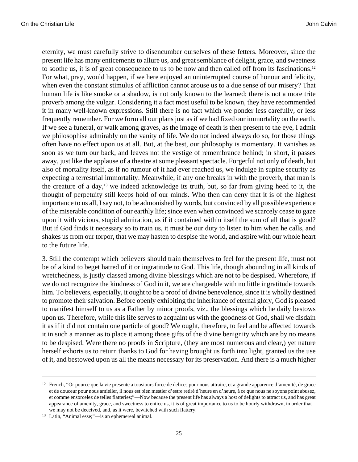eternity, we must carefully strive to disencumber ourselves of these fetters. Moreover, since the present life has many enticements to allure us, and great semblance of delight, grace, and sweetness to soothe us, it is of great consequence to us to be now and then called off from its fascinations.<sup>12</sup> For what, pray, would happen, if we here enjoyed an uninterrupted course of honour and felicity, when even the constant stimulus of affliction cannot arouse us to a due sense of our misery? That human life is like smoke or a shadow, is not only known to the learned; there is not a more trite proverb among the vulgar. Considering it a fact most useful to be known, they have recommended it in many well-known expressions. Still there is no fact which we ponder less carefully, or less frequently remember. For we form all our plans just as if we had fixed our immortality on the earth. If we see a funeral, or walk among graves, as the image of death is then present to the eye, I admit we philosophise admirably on the vanity of life. We do not indeed always do so, for those things often have no effect upon us at all. But, at the best, our philosophy is momentary. It vanishes as soon as we turn our back, and leaves not the vestige of remembrance behind; in short, it passes away, just like the applause of a theatre at some pleasant spectacle. Forgetful not only of death, but also of mortality itself, as if no rumour of it had ever reached us, we indulge in supine security as expecting a terrestrial immortality. Meanwhile, if any one breaks in with the proverb, that man is the creature of a day,13 we indeed acknowledge its truth, but, so far from giving heed to it, the thought of perpetuity still keeps hold of our minds. Who then can deny that it is of the highest importance to us all, I say not, to be admonished by words, but convinced by all possible experience of the miserable condition of our earthly life; since even when convinced we scarcely cease to gaze upon it with vicious, stupid admiration, as if it contained within itself the sum of all that is good? But if God finds it necessary so to train us, it must be our duty to listen to him when he calls, and shakes us from our torpor, that we may hasten to despise the world, and aspire with our whole heart to the future life.

3. Still the contempt which believers should train themselves to feel for the present life, must not be of a kind to beget hatred of it or ingratitude to God. This life, though abounding in all kinds of wretchedness, is justly classed among divine blessings which are not to be despised. Wherefore, if we do not recognize the kindness of God in it, we are chargeable with no little ingratitude towards him. To believers, especially, it ought to be a proof of divine benevolence, since it is wholly destined to promote their salvation. Before openly exhibiting the inheritance of eternal glory, God is pleased to manifest himself to us as a Father by minor proofs, viz., the blessings which he daily bestows upon us. Therefore, while this life serves to acquaint us with the goodness of God, shall we disdain it as if it did not contain one particle of good? We ought, therefore, to feel and be affected towards it in such a manner as to place it among those gifts of the divine benignity which are by no means to be despised. Were there no proofs in Scripture, (they are most numerous and clear,) yet nature herself exhorts us to return thanks to God for having brought us forth into light, granted us the use of it, and bestowed upon us all the means necessary for its preservation. And there is a much higher

<span id="page-28-0"></span><sup>12</sup> French, "Or pource que la vie presente a tousiours force de delices pour nous attraire, et a grande apparence d'amenité, de grace et de douceur pour nous amieller, il nous est bien mestier d'estre retiré d'heure en d'heure, à ce que nous ne soyons point abusez, et comme ensorcelez de telles flatteries;"—Now because the present life has always a host of delights to attract us, and has great appearance of amenity, grace, and sweetness to entice us, it is of great importance to us to be hourly withdrawn, in order that we may not be deceived, and, as it were, bewitched with such flattery.

<sup>13</sup> Latin, "Animal esse;"—is an ephemereal animal.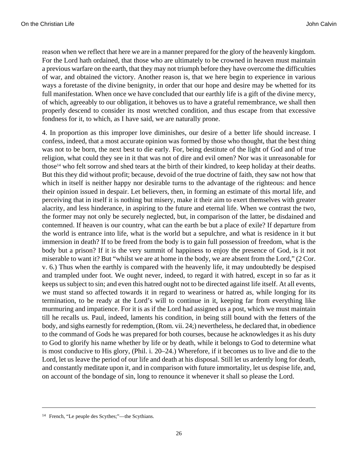reason when we reflect that here we are in a manner prepared for the glory of the heavenly kingdom. For the Lord hath ordained, that those who are ultimately to be crowned in heaven must maintain a previous warfare on the earth, that they may not triumph before they have overcome the difficulties of war, and obtained the victory. Another reason is, that we here begin to experience in various ways a foretaste of the divine benignity, in order that our hope and desire may be whetted for its full manifestation. When once we have concluded that our earthly life is a gift of the divine mercy, of which, agreeably to our obligation, it behoves us to have a grateful remembrance, we shall then properly descend to consider its most wretched condition, and thus escape from that excessive fondness for it, to which, as I have said, we are naturally prone.

4. In proportion as this improper love diminishes, our desire of a better life should increase. I confess, indeed, that a most accurate opinion was formed by those who thought, that the best thing was not to be born, the next best to die early. For, being destitute of the light of God and of true religion, what could they see in it that was not of dire and evil omen? Nor was it unreasonable for those14 who felt sorrow and shed tears at the birth of their kindred, to keep holiday at their deaths. But this they did without profit; because, devoid of the true doctrine of faith, they saw not how that which in itself is neither happy nor desirable turns to the advantage of the righteous: and hence their opinion issued in despair. Let believers, then, in forming an estimate of this mortal life, and perceiving that in itself it is nothing but misery, make it their aim to exert themselves with greater alacrity, and less hinderance, in aspiring to the future and eternal life. When we contrast the two, the former may not only be securely neglected, but, in comparison of the latter, be disdained and contemned. If heaven is our country, what can the earth be but a place of exile? If departure from the world is entrance into life, what is the world but a sepulchre, and what is residence in it but immersion in death? If to be freed from the body is to gain full possession of freedom, what is the body but a prison? If it is the very summit of happiness to enjoy the presence of God, is it not miserable to want it? But "whilst we are at home in the body, we are absent from the Lord," [\(2 Cor.](http://www.ccel.org/b/bible/asv/xml/asv.iiCor.5.xml#iiCor.5.6) [v. 6](http://www.ccel.org/b/bible/asv/xml/asv.iiCor.5.xml#iiCor.5.6).) Thus when the earthly is compared with the heavenly life, it may undoubtedly be despised and trampled under foot. We ought never, indeed, to regard it with hatred, except in so far as it keeps us subject to sin; and even this hatred ought not to be directed against life itself. At all events, we must stand so affected towards it in regard to weariness or hatred as, while longing for its termination, to be ready at the Lord's will to continue in it, keeping far from everything like murmuring and impatience. For it is as if the Lord had assigned us a post, which we must maintain till he recalls us. Paul, indeed, laments his condition, in being still bound with the fetters of the body, and sighs earnestly for redemption, [\(Rom. vii. 24;](http://www.ccel.org/b/bible/asv/xml/asv.Rom.7.xml#Rom.7.24)) nevertheless, he declared that, in obedience to the command of Gods he was prepared for both courses, because he acknowledges it as his duty to God to glorify his name whether by life or by death, while it belongs to God to determine what is most conducive to His glory, ([Phil. i. 20–24](http://www.ccel.org/b/bible/asv/xml/asv.Phil.1.xml#Phil.1.20).) Wherefore, if it becomes us to live and die to the Lord, let us leave the period of our life and death at his disposal. Still let us ardently long for death, and constantly meditate upon it, and in comparison with future immortality, let us despise life, and, on account of the bondage of sin, long to renounce it whenever it shall so please the Lord.

<span id="page-29-0"></span><sup>14</sup> French, "Le peuple des Scythes;"—the Scythians.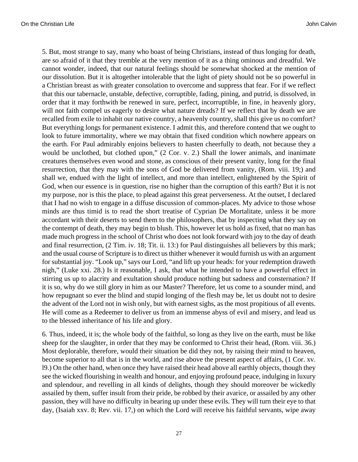5. But, most strange to say, many who boast of being Christians, instead of thus longing for death, are so afraid of it that they tremble at the very mention of it as a thing ominous and dreadful. We cannot wonder, indeed, that our natural feelings should be somewhat shocked at the mention of our dissolution. But it is altogether intolerable that the light of piety should not be so powerful in a Christian breast as with greater consolation to overcome and suppress that fear. For if we reflect that this our tabernacle, unstable, defective, corruptible, fading, pining, and putrid, is dissolved, in order that it may forthwith be renewed in sure, perfect, incorruptible, in fine, in heavenly glory, will not faith compel us eagerly to desire what nature dreads? If we reflect that by death we are recalled from exile to inhabit our native country, a heavenly country, shall this give us no comfort? But everything longs for permanent existence. I admit this, and therefore contend that we ought to look to future immortality, where we may obtain that fixed condition which nowhere appears on the earth. For Paul admirably enjoins believers to hasten cheerfully to death, not because they a would be unclothed, but clothed upon," [\(2 Cor. v. 2.](http://www.ccel.org/b/bible/asv/xml/asv.iiCor.5.xml#iiCor.5.2)) Shall the lower animals, and inanimate creatures themselves even wood and stone, as conscious of their present vanity, long for the final resurrection, that they may with the sons of God be delivered from vanity, [\(Rom. viii. 19;](http://www.ccel.org/b/bible/asv/xml/asv.Rom.8.xml#Rom.8.19)) and shall we, endued with the light of intellect, and more than intellect, enlightened by the Spirit of God, when our essence is in question, rise no higher than the corruption of this earth? But it is not my purpose, nor is this the place, to plead against this great perverseness. At the outset, I declared that I had no wish to engage in a diffuse discussion of common-places. My advice to those whose minds are thus timid is to read the short treatise of Cyprian De Mortalitate, unless it be more accordant with their deserts to send them to the philosophers, that by inspecting what they say on the contempt of death, they may begin to blush. This, however let us hold as fixed, that no man has made much progress in the school of Christ who does not look forward with joy to the day of death and final resurrection, ([2 Tim. iv. 18;](http://www.ccel.org/b/bible/asv/xml/asv.iiTim.4.xml#iiTim.4.18) [Tit. ii. 13:](http://www.ccel.org/b/bible/asv/xml/asv.Titus.2.xml#Titus.2.13)) for Paul distinguishes all believers by this mark; and the usual course of Scripture is to direct us thither whenever it would furnish us with an argument for substantial joy. "Look up," says our Lord, "and lift up your heads: for your redemption draweth nigh," ([Luke xxi. 28](http://www.ccel.org/b/bible/asv/xml/asv.Luke.21.xml#Luke.21.28).) Is it reasonable, I ask, that what he intended to have a powerful effect in stirring us up to alacrity and exultation should produce nothing but sadness and consternation? If it is so, why do we still glory in him as our Master? Therefore, let us come to a sounder mind, and how repugnant so ever the blind and stupid longing of the flesh may be, let us doubt not to desire the advent of the Lord not in wish only, but with earnest sighs, as the most propitious of all events. He will come as a Redeemer to deliver us from an immense abyss of evil and misery, and lead us to the blessed inheritance of his life and glory.

6. Thus, indeed, it is; the whole body of the faithful, so long as they live on the earth, must be like sheep for the slaughter, in order that they may be conformed to Christ their head, [\(Rom. viii. 36.](http://www.ccel.org/b/bible/asv/xml/asv.Rom.8.xml#Rom.8.36)) Most deplorable, therefore, would their situation be did they not, by raising their mind to heaven, become superior to all that is in the world, and rise above the present aspect of affairs, [\(1 Cor. xv.](http://www.ccel.org/b/bible/asv/xml/asv...xml#..) [l9](http://www.ccel.org/b/bible/asv/xml/asv...xml#..).) On the other hand, when once they have raised their head above all earthly objects, though they see the wicked flourishing in wealth and honour, and enjoying profound peace, indulging in luxury and splendour, and revelling in all kinds of delights, though they should moreover be wickedly assailed by them, suffer insult from their pride, be robbed by their avarice, or assailed by any other passion, they will have no difficulty in bearing up under these evils. They will turn their eye to that day, ([Isaiah xxv. 8;](http://www.ccel.org/b/bible/asv/xml/asv.Isa.25.xml#Isa.25.8) [Rev. vii. 17,](http://www.ccel.org/b/bible/asv/xml/asv.Rev.7.xml#Rev.7.17)) on which the Lord will receive his faithful servants, wipe away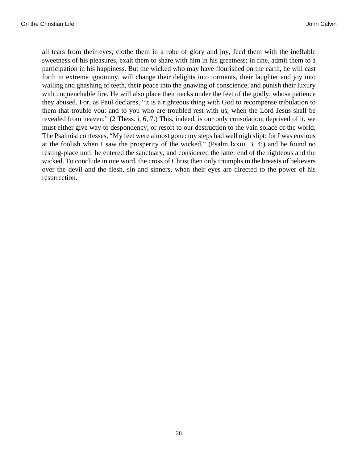all tears from their eyes, clothe them in a robe of glory and joy, feed them with the ineffable sweetness of his pleasures, exalt them to share with him in his greatness; in fine, admit them to a participation in his happiness. But the wicked who may have flourished on the earth, he will cast forth in extreme ignominy, will change their delights into torments, their laughter and joy into wailing and gnashing of teeth, their peace into the gnawing of conscience, and punish their luxury with unquenchable fire. He will also place their necks under the feet of the godly, whose patience they abused. For, as Paul declares, "it is a righteous thing with God to recompense tribulation to them that trouble you; and to you who are troubled rest with us, when the Lord Jesus shall be revealed from heaven," ([2 Thess. i. 6, 7.](http://www.ccel.org/b/bible/asv/xml/asv.iiThess.1.xml#iiThess.1.6 Bible:2Thess.1.7)) This, indeed, is our only consolation; deprived of it, we must either give way to despondency, or resort to our destruction to the vain solace of the world. The Psalmist confesses, "My feet were almost gone: my steps had well nigh slipt: for I was envious at the foolish when I saw the prosperity of the wicked," ([Psalm lxxiii. 3, 4](http://www.ccel.org/b/bible/asv/xml/asv.Ps.73.xml#Ps.73.3 Bible:Ps.73.4);) and he found no resting-place until he entered the sanctuary, and considered the latter end of the righteous and the wicked. To conclude in one word, the cross of Christ then only triumphs in the breasts of believers over the devil and the flesh, sin and sinners, when their eyes are directed to the power of his resurrection.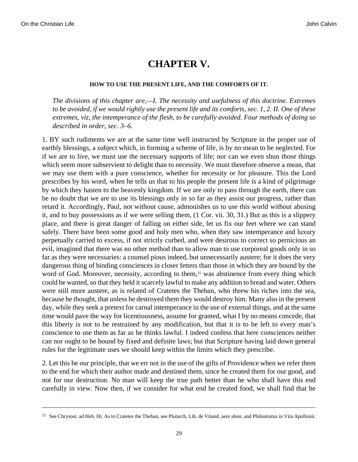# **CHAPTER V.**

#### **HOW TO USE THE PRESENT LIFE, AND THE COMFORTS OF IT.**

<span id="page-32-0"></span>*The divisions of this chapter are,—I. The necessity and usefulness of this doctrine. Extremes to be avoided, if we would rightly use the present life and its comforts, sec. 1, 2. II. One of these extremes, viz, the intemperance of the flesh, to be carefully avoided. Four methods of doing so described in order, sec. 3–6.*

1. BY such rudiments we are at the same time well instructed by Scripture in the proper use of earthly blessings, a subject which, in forming a scheme of life, is by no mean to be neglected. For if we are to live, we must use the necessary supports of life; nor can we even shun those things which seem more subservient to delight than to necessity. We must therefore observe a mean, that we may use them with a pure conscience, whether for necessity or for pleasure. This the Lord prescribes by his word, when he tells us that to his people the present life is a kind of pilgrimage by which they hasten to the heavenly kingdom. If we are only to pass through the earth, there can be no doubt that we are to use its blessings only in so far as they assist our progress, rather than retard it. Accordingly, Paul, not without cause, admonishes us to use this world without abusing it, and to buy possessions as if we were selling them, ([1 Cor. vii. 30, 31](http://www.ccel.org/b/bible/asv/xml/asv.iCor.7.xml#iCor.7.30 Bible:1Cor.7.31).) But as this is a slippery place, and there is great danger of falling on either side, let us fix our feet where we can stand safely. There have been some good and holy men who, when they saw intemperance and luxury perpetually carried to excess, if not strictly curbed, and were desirous to correct so pernicious an evil, imagined that there was no other method than to allow man to use corporeal goods only in so far as they were necessaries: a counsel pious indeed, but unnecessarily austere; for it does the very dangerous thing of binding consciences in closer fetters than those in which they are bound by the word of God. Moreover, necessity, according to them,<sup>15</sup> was abstinence from every thing which could be wanted, so that they held it scarcely lawful to make any addition to bread and water. Others were still more austere, as is related of Cratetes the Theban, who threw his riches into the sea, because he thought, that unless he destroyed them they would destroy him. Many also in the present day, while they seek a pretext for carnal intemperance in the use of external things, and at the same time would pave the way for licentiousness, assume for granted, what I by no means concede, that this liberty is not to be restrained by any modification, but that it is to be left to every man's conscience to use them as far as he thinks lawful. I indeed confess that here consciences neither can nor ought to be bound by fixed and definite laws; but that Scripture having laid down general rules for the legitimate uses we should keep within the limits which they prescribe.

2. Let this be our principle, that we err not in the use of the gifts of Providence when we refer them to the end for which their author made and destined them, since he created them for our good, and not for our destruction. No man will keep the true path better than he who shall have this end carefully in view. Now then, if we consider for what end he created food, we shall find that he

<sup>15</sup> See Chrysost. ad Heb. Hi. As to Cratetes the Theban, see Plutarch, Lib. de Vitand. aere alien. and Philostratus in Vita Apollonii.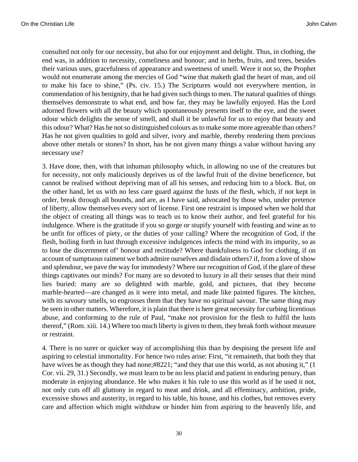consulted not only for our necessity, but also for our enjoyment and delight. Thus, in clothing, the end was, in addition to necessity, comeliness and honour; and in herbs, fruits, and trees, besides their various uses, gracefulness of appearance and sweetness of smell. Were it not so, the Prophet would not enumerate among the mercies of God "wine that maketh glad the heart of man, and oil to make his face to shine," [\(Ps. civ. 15](http://www.ccel.org/b/bible/asv/xml/asv.Ps.4.xml#Ps.4.15).) The Scriptures would not everywhere mention, in commendation of his benignity, that he had given such things to men. The natural qualities of things themselves demonstrate to what end, and how far, they may be lawfully enjoyed. Has the Lord adorned flowers with all the beauty which spontaneously presents itself to the eye, and the sweet odour which delights the sense of smell, and shall it be unlawful for us to enjoy that beauty and this odour? What? Has he not so distinguished colours as to make some more agreeable than others? Has he not given qualities to gold and silver, ivory and marble, thereby rendering them precious above other metals or stones? In short, has he not given many things a value without having any necessary use?

3. Have done, then, with that inhuman philosophy which, in allowing no use of the creatures but for necessity, not only maliciously deprives us of the lawful fruit of the divine beneficence, but cannot be realised without depriving man of all his senses, and reducing him to a block. But, on the other hand, let us with no less care guard against the lusts of the flesh, which, if not kept in order, break through all bounds, and are, as I have said, advocated by those who, under pretence of liberty, allow themselves every sort of license. First one restraint is imposed when we hold that the object of creating all things was to teach us to know their author, and feel grateful for his indulgence. Where is the gratitude if you so gorge or stupify yourself with feasting and wine as to be unfit for offices of piety, or the duties of your calling? Where the recognition of God, if the flesh, boiling forth in lust through excessive indulgences infects the mind with its impurity, so as to lose the discernment of' honour and rectitude? Where thankfulness to God for clothing, if on account of sumptuous raiment we both admire ourselves and disdain others? if, from a love of show and splendour, we pave the way for immodesty? Where our recognition of God, if the glare of these things captivates our minds? For many are so devoted to luxury in all their senses that their mind lies buried: many are so delighted with marble, gold, and pictures, that they become marble-hearted—are changed as it were into metal, and made like painted figures. The kitchen, with its savoury smells, so engrosses them that they have no spiritual savour. The same thing may be seen in other matters. Wherefore, it is plain that there is here great necessity for curbing licentious abuse, and conforming to the rule of Paul, "make not provision for the flesh to fulfil the lusts thereof," [\(Rom. xiii. 14.](http://www.ccel.org/b/bible/asv/xml/asv.Rom.13.xml#Rom.13.14)) Where too much liberty is given to them, they break forth without measure or restraint.

4. There is no surer or quicker way of accomplishing this than by despising the present life and aspiring to celestial immortality. For hence two rules arise: First, "it remaineth, that both they that have wives be as though they had none;#8221; "and they that use this world, as not abusing it," [\(1](http://www.ccel.org/b/bible/asv/xml/asv.iCor.7.xml#iCor.7.29 Bible:1Cor.7.31)) [Cor. vii. 29, 31.](http://www.ccel.org/b/bible/asv/xml/asv.iCor.7.xml#iCor.7.29 Bible:1Cor.7.31)) Secondly, we must learn to be no less placid and patient in enduring penury, than moderate in enjoying abundance. He who makes it his rule to use this world as if he used it not, not only cuts off all gluttony in regard to meat and drink, and all effeminacy, ambition, pride, excessive shows and austerity, in regard to his table, his house, and his clothes, but removes every care and affection which might withdraw or hinder him from aspiring to the heavenly life, and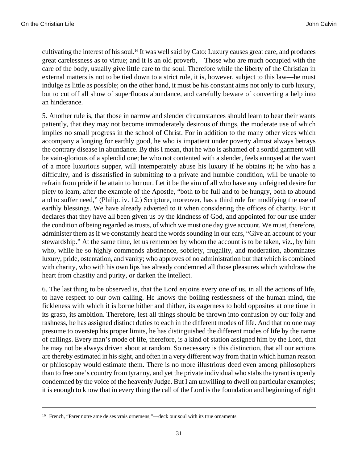cultivating the interest of his soul.16 It was well said by Cato: Luxury causes great care, and produces great carelessness as to virtue; and it is an old proverb,—Those who are much occupied with the care of the body, usually give little care to the soul. Therefore while the liberty of the Christian in external matters is not to be tied down to a strict rule, it is, however, subject to this law—he must indulge as little as possible; on the other hand, it must be his constant aims not only to curb luxury, but to cut off all show of superfluous abundance, and carefully beware of converting a help into an hinderance.

5. Another rule is, that those in narrow and slender circumstances should learn to bear their wants patiently, that they may not become immoderately desirous of things, the moderate use of which implies no small progress in the school of Christ. For in addition to the many other vices which accompany a longing for earthly good, he who is impatient under poverty almost always betrays the contrary disease in abundance. By this I mean, that he who is ashamed of a sordid garment will be vain-glorious of a splendid one; he who not contented with a slender, feels annoyed at the want of a more luxurious supper, will intemperately abuse his luxury if he obtains it; he who has a difficulty, and is dissatisfied in submitting to a private and humble condition, will be unable to refrain from pride if he attain to honour. Let it be the aim of all who have any unfeigned desire for piety to learn, after the example of the Apostle, "both to be full and to be hungry, both to abound and to suffer need," ([Philip. iv. 12](http://www.ccel.org/b/bible/asv/xml/asv.Phil.4.xml#Phil.4.12).) Scripture, moreover, has a third rule for modifying the use of earthly blessings. We have already adverted to it when considering the offices of charity. For it declares that they have all been given us by the kindness of God, and appointed for our use under the condition of being regarded as trusts, of which we must one day give account. We must, therefore, administer them as if we constantly heard the words sounding in our ears, "Give an account of your stewardship." At the same time, let us remember by whom the account is to be taken, viz., by him who, while he so highly commends abstinence, sobriety, frugality, and moderation, abominates luxury, pride, ostentation, and vanity; who approves of no administration but that which is combined with charity, who with his own lips has already condemned all those pleasures which withdraw the heart from chastity and purity, or darken the intellect.

6. The last thing to be observed is, that the Lord enjoins every one of us, in all the actions of life, to have respect to our own calling. He knows the boiling restlessness of the human mind, the fickleness with which it is borne hither and thither, its eagerness to hold opposites at one time in its grasp, its ambition. Therefore, lest all things should be thrown into confusion by our folly and rashness, he has assigned distinct duties to each in the different modes of life. And that no one may presume to overstep his proper limits, he has distinguished the different modes of life by the name of callings. Every man's mode of life, therefore, is a kind of station assigned him by the Lord, that he may not be always driven about at random. So necessary is this distinction, that all our actions are thereby estimated in his sight, and often in a very different way from that in which human reason or philosophy would estimate them. There is no more illustrious deed even among philosophers than to free one's country from tyranny, and yet the private individual who stabs the tyrant is openly condemned by the voice of the heavenly Judge. But I am unwilling to dwell on particular examples; it is enough to know that in every thing the call of the Lord is the foundation and beginning of right

<span id="page-34-0"></span><sup>16</sup> French, "Parer notre ame de ses vrais ornemens;"—deck our soul with its true ornaments.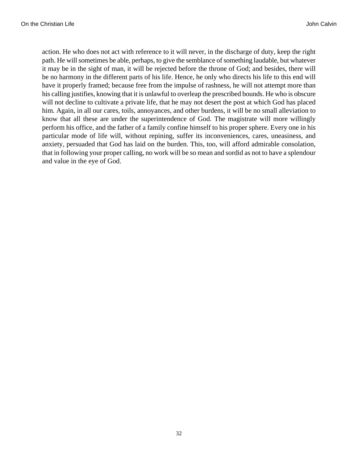action. He who does not act with reference to it will never, in the discharge of duty, keep the right path. He will sometimes be able, perhaps, to give the semblance of something laudable, but whatever it may be in the sight of man, it will be rejected before the throne of God; and besides, there will be no harmony in the different parts of his life. Hence, he only who directs his life to this end will have it properly framed; because free from the impulse of rashness, he will not attempt more than his calling justifies, knowing that it is unlawful to overleap the prescribed bounds. He who is obscure will not decline to cultivate a private life, that he may not desert the post at which God has placed him. Again, in all our cares, toils, annoyances, and other burdens, it will be no small alleviation to know that all these are under the superintendence of God. The magistrate will more willingly perform his office, and the father of a family confine himself to his proper sphere. Every one in his particular mode of life will, without repining, suffer its inconveniences, cares, uneasiness, and anxiety, persuaded that God has laid on the burden. This, too, will afford admirable consolation, that in following your proper calling, no work will be so mean and sordid as not to have a splendour and value in the eye of God.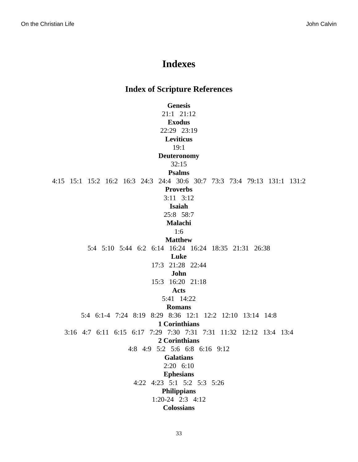## **Indexes**

### **Index of Scripture References**

<span id="page-36-1"></span><span id="page-36-0"></span>**Genesis** [21:1](http://www.ccel.org/c/calvin/chr_life/?scrBook=Gen&scrCh=21&scrV=1#v-p5.1) [21:12](http://www.ccel.org/c/calvin/chr_life/?scrBook=Gen&scrCh=21&scrV=12#v-p5.1) **Exodus** [22:29](http://www.ccel.org/c/calvin/chr_life/?scrBook=Exod&scrCh=22&scrV=29#iv-p6.3)  [23:19](http://www.ccel.org/c/calvin/chr_life/?scrBook=Exod&scrCh=23&scrV=19#iv-p6.4) **Leviticus** [19:1](http://www.ccel.org/c/calvin/chr_life/?scrBook=Lev&scrCh=19&scrV=1#iii-p3.3) **Deuteronomy** [32:15](http://www.ccel.org/c/calvin/chr_life/?scrBook=Deut&scrCh=32&scrV=15#v-p6.1) **Psalms** [4:15](http://www.ccel.org/c/calvin/chr_life/?scrBook=Ps&scrCh=4&scrV=15#vii-p3.1) [15:1](http://www.ccel.org/c/calvin/chr_life/?scrBook=Ps&scrCh=15&scrV=1#iii-p3.5)  [15:2](http://www.ccel.org/c/calvin/chr_life/?scrBook=Ps&scrCh=15&scrV=2#iii-p3.5) [16:2](http://www.ccel.org/c/calvin/chr_life/?scrBook=Ps&scrCh=16&scrV=2#iv-p6.5)  [16:3](http://www.ccel.org/c/calvin/chr_life/?scrBook=Ps&scrCh=16&scrV=3#iv-p6.5)  [24:3](http://www.ccel.org/c/calvin/chr_life/?scrBook=Ps&scrCh=24&scrV=3#iii-p3.6) [24:4](http://www.ccel.org/c/calvin/chr_life/?scrBook=Ps&scrCh=24&scrV=4#iii-p3.6) [30:6](http://www.ccel.org/c/calvin/chr_life/?scrBook=Ps&scrCh=30&scrV=6#v-p3.1)  [30:7](http://www.ccel.org/c/calvin/chr_life/?scrBook=Ps&scrCh=30&scrV=7#v-p3.1) [73:3](http://www.ccel.org/c/calvin/chr_life/?scrBook=Ps&scrCh=73&scrV=3#vi-p7.6)  [73:4](http://www.ccel.org/c/calvin/chr_life/?scrBook=Ps&scrCh=73&scrV=4#vi-p7.6)  [79:13](http://www.ccel.org/c/calvin/chr_life/?scrBook=Ps&scrCh=79&scrV=13#iv-p11.3) [131:1](http://www.ccel.org/c/calvin/chr_life/?scrBook=Ps&scrCh=131&scrV=1#iv-p10.1) [131:2](http://www.ccel.org/c/calvin/chr_life/?scrBook=Ps&scrCh=131&scrV=2#iv-p10.1) **Proverbs** [3:11](http://www.ccel.org/c/calvin/chr_life/?scrBook=Prov&scrCh=3&scrV=11#v-p7.2)  [3:12](http://www.ccel.org/c/calvin/chr_life/?scrBook=Prov&scrCh=3&scrV=12#v-p7.2) **Isaiah** [25:8](http://www.ccel.org/c/calvin/chr_life/?scrBook=Isa&scrCh=25&scrV=8#vi-p7.3)  [58:7](http://www.ccel.org/c/calvin/chr_life/?scrBook=Isa&scrCh=58&scrV=7#iv-p7.3) **Malachi** [1:6](http://www.ccel.org/c/calvin/chr_life/?scrBook=Mal&scrCh=1&scrV=6#iii-p4.3) **Matthew** [5:4](http://www.ccel.org/c/calvin/chr_life/?scrBook=Matt&scrCh=5&scrV=4#v-p10.3) [5:10](http://www.ccel.org/c/calvin/chr_life/?scrBook=Matt&scrCh=5&scrV=10#v-p8.1)  [5:44](http://www.ccel.org/c/calvin/chr_life/?scrBook=Matt&scrCh=5&scrV=44#iv-p7.7)  [6:2](http://www.ccel.org/c/calvin/chr_life/?scrBook=Matt&scrCh=6&scrV=2#iv-p3.2) [6:14](http://www.ccel.org/c/calvin/chr_life/?scrBook=Matt&scrCh=6&scrV=14#iv-p7.8) [16:24](http://www.ccel.org/c/calvin/chr_life/?scrBook=Matt&scrCh=16&scrV=24#iv-p3.1)  [16:24](http://www.ccel.org/c/calvin/chr_life/?scrBook=Matt&scrCh=16&scrV=24#v-p2.1) [18:35](http://www.ccel.org/c/calvin/chr_life/?scrBook=Matt&scrCh=18&scrV=35#iv-p7.9)  [21:31](http://www.ccel.org/c/calvin/chr_life/?scrBook=Matt&scrCh=21&scrV=31#iv-p3.3)  [26:38](http://www.ccel.org/c/calvin/chr_life/?scrBook=Matt&scrCh=26&scrV=38#v-p10.5) **Luke** [17:3](http://www.ccel.org/c/calvin/chr_life/?scrBook=Luke&scrCh=17&scrV=3#iv-p7.10) [21:28](http://www.ccel.org/c/calvin/chr_life/?scrBook=Luke&scrCh=21&scrV=28#vi-p6.5)  [22:44](http://www.ccel.org/c/calvin/chr_life/?scrBook=Luke&scrCh=22&scrV=44#v-p10.4) **John** [15:3](http://www.ccel.org/c/calvin/chr_life/?scrBook=John&scrCh=15&scrV=3#iii-p4.11) [16:20](http://www.ccel.org/c/calvin/chr_life/?scrBook=John&scrCh=16&scrV=20#v-p10.2)  [21:18](http://www.ccel.org/c/calvin/chr_life/?scrBook=John&scrCh=21&scrV=18#v-p11.1) **Acts** [5:41](http://www.ccel.org/c/calvin/chr_life/?scrBook=Acts&scrCh=5&scrV=41#v-p8.2) [14:22](http://www.ccel.org/c/calvin/chr_life/?scrBook=Acts&scrCh=14&scrV=22#v-p2.3) **Romans** [5:4](http://www.ccel.org/c/calvin/chr_life/?scrBook=Rom&scrCh=5&scrV=4#iii-p4.1)  [6:1-4](http://www.ccel.org/c/calvin/chr_life/?scrBook=Rom&scrCh=6&scrV=1#iii-p4.7) [7:24](http://www.ccel.org/c/calvin/chr_life/?scrBook=Rom&scrCh=7&scrV=24#vi-p5.4)  [8:19](http://www.ccel.org/c/calvin/chr_life/?scrBook=Rom&scrCh=8&scrV=19#vi-p6.2)  [8:29](http://www.ccel.org/c/calvin/chr_life/?scrBook=Rom&scrCh=8&scrV=29#v-p2.4) [8:36](http://www.ccel.org/c/calvin/chr_life/?scrBook=Rom&scrCh=8&scrV=36#vi-p7.1)  [12:1](http://www.ccel.org/c/calvin/chr_life/?scrBook=Rom&scrCh=12&scrV=1#iv-p2.1) [12:2](http://www.ccel.org/c/calvin/chr_life/?scrBook=Rom&scrCh=12&scrV=2#iv-p2.3) [12:10](http://www.ccel.org/c/calvin/chr_life/?scrBook=Rom&scrCh=12&scrV=10#iv-p5.1)  [13:14](http://www.ccel.org/c/calvin/chr_life/?scrBook=Rom&scrCh=13&scrV=14#vii-p4.1) [14:8](http://www.ccel.org/c/calvin/chr_life/?scrBook=Rom&scrCh=14&scrV=8#iv-p2.2) **1 Corinthians** [3:16](http://www.ccel.org/c/calvin/chr_life/?scrBook=1Cor&scrCh=3&scrV=16#iii-p4.14)  [4:7](http://www.ccel.org/c/calvin/chr_life/?scrBook=1Cor&scrCh=4&scrV=7#iv-p5.3)  [6:11](http://www.ccel.org/c/calvin/chr_life/?scrBook=1Cor&scrCh=6&scrV=11#iii-p4.8) [6:15](http://www.ccel.org/c/calvin/chr_life/?scrBook=1Cor&scrCh=6&scrV=15#iii-p4.10)  [6:17](http://www.ccel.org/c/calvin/chr_life/?scrBook=1Cor&scrCh=6&scrV=17#iii-p4.15)  [7:29](http://www.ccel.org/c/calvin/chr_life/?scrBook=1Cor&scrCh=7&scrV=29#vii-p5.1) [7:30](http://www.ccel.org/c/calvin/chr_life/?scrBook=1Cor&scrCh=7&scrV=30#vii-p2.1)  [7:31](http://www.ccel.org/c/calvin/chr_life/?scrBook=1Cor&scrCh=7&scrV=31#vii-p2.1) [7:31](http://www.ccel.org/c/calvin/chr_life/?scrBook=1Cor&scrCh=7&scrV=31#vii-p5.1) [11:32](http://www.ccel.org/c/calvin/chr_life/?scrBook=1Cor&scrCh=11&scrV=32#v-p7.1)  [12:12](http://www.ccel.org/c/calvin/chr_life/?scrBook=1Cor&scrCh=12&scrV=12#iv-p6.2) [13:4](http://www.ccel.org/c/calvin/chr_life/?scrBook=1Cor&scrCh=13&scrV=4#iv-p6.1) [13:4](http://www.ccel.org/c/calvin/chr_life/?scrBook=1Cor&scrCh=13&scrV=4#iv-p7.1) **2 Corinthians** [4:8](http://www.ccel.org/c/calvin/chr_life/?scrBook=2Cor&scrCh=4&scrV=8#v-p10.1)  [4:9](http://www.ccel.org/c/calvin/chr_life/?scrBook=2Cor&scrCh=4&scrV=9#v-p10.1)  [5:2](http://www.ccel.org/c/calvin/chr_life/?scrBook=2Cor&scrCh=5&scrV=2#vi-p6.1) [5:6](http://www.ccel.org/c/calvin/chr_life/?scrBook=2Cor&scrCh=5&scrV=6#vi-p5.3)  [6:8](http://www.ccel.org/c/calvin/chr_life/?scrBook=2Cor&scrCh=6&scrV=8#v-p9.3) [6:16](http://www.ccel.org/c/calvin/chr_life/?scrBook=2Cor&scrCh=6&scrV=16#iii-p4.16) [9:12](http://www.ccel.org/c/calvin/chr_life/?scrBook=2Cor&scrCh=9&scrV=12#iv-p6.8) **Galatians** [2:20](http://www.ccel.org/c/calvin/chr_life/?scrBook=Gal&scrCh=2&scrV=20#iv-p2.5)  [6:10](http://www.ccel.org/c/calvin/chr_life/?scrBook=Gal&scrCh=6&scrV=10#iv-p7.2) **Ephesians** [4:22](http://www.ccel.org/c/calvin/chr_life/?scrBook=Eph&scrCh=4&scrV=22#iii-p5.1)  [4:23](http://www.ccel.org/c/calvin/chr_life/?scrBook=Eph&scrCh=4&scrV=23#iv-p2.4) [5:1](http://www.ccel.org/c/calvin/chr_life/?scrBook=Eph&scrCh=5&scrV=1#iii-p4.4) [5:2](http://www.ccel.org/c/calvin/chr_life/?scrBook=Eph&scrCh=5&scrV=2#iii-p4.12)  [5:3](http://www.ccel.org/c/calvin/chr_life/?scrBook=Eph&scrCh=5&scrV=3#iii-p4.12) [5:26](http://www.ccel.org/c/calvin/chr_life/?scrBook=Eph&scrCh=5&scrV=26#iii-p4.6) **Philippians** [1:20-24](http://www.ccel.org/c/calvin/chr_life/?scrBook=Phil&scrCh=1&scrV=20#vi-p5.5) [2:3](http://www.ccel.org/c/calvin/chr_life/?scrBook=Phil&scrCh=2&scrV=3#iv-p5.2)  [4:12](http://www.ccel.org/c/calvin/chr_life/?scrBook=Phil&scrCh=4&scrV=12#vii-p6.1) **Colossians**